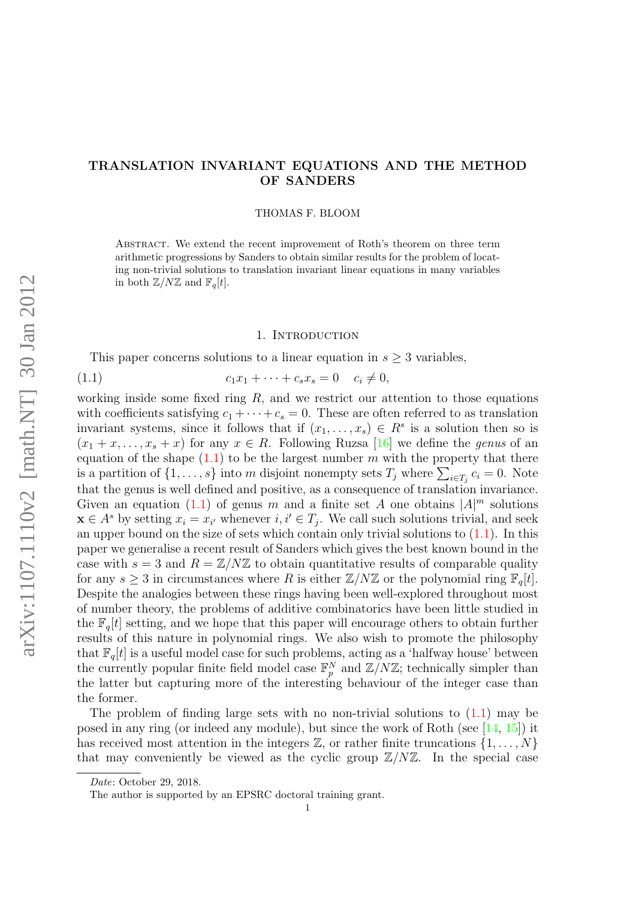# TRANSLATION INVARIANT EQUATIONS AND THE METHOD OF SANDERS

### THOMAS F. BLOOM

ABSTRACT. We extend the recent improvement of Roth's theorem on three term arithmetic progressions by Sanders to obtain similar results for the problem of locating non-trivial solutions to translation invariant linear equations in many variables in both  $\mathbb{Z}/N\mathbb{Z}$  and  $\mathbb{F}_q[t]$ .

## <span id="page-0-0"></span>1. INTRODUCTION

This paper concerns solutions to a linear equation in  $s \geq 3$  variables,

(1.1) 
$$
c_1 x_1 + \dots + c_s x_s = 0 \quad c_i \neq 0,
$$

working inside some fixed ring  $R$ , and we restrict our attention to those equations with coefficients satisfying  $c_1 + \cdots + c_s = 0$ . These are often referred to as translation invariant systems, since it follows that if  $(x_1, \ldots, x_s) \in R^s$  is a solution then so is  $(x_1 + x, \ldots, x_s + x)$  for any  $x \in R$ . Following Ruzsa [\[16\]](#page-18-0) we define the *genus* of an equation of the shape  $(1.1)$  to be the largest number m with the property that there is a partition of  $\{1, \ldots, s\}$  into m disjoint nonempty sets  $T_j$  where  $\sum_{i \in T_j} c_i = 0$ . Note that the genus is well defined and positive, as a consequence of translation invariance. Given an equation [\(1.1\)](#page-0-0) of genus m and a finite set A one obtains  $|A|^m$  solutions  $\mathbf{x} \in A^s$  by setting  $x_i = x_{i'}$  whenever  $i, i' \in T_j$ . We call such solutions trivial, and seek an upper bound on the size of sets which contain only trivial solutions to  $(1.1)$ . In this paper we generalise a recent result of Sanders which gives the best known bound in the case with  $s = 3$  and  $R = \mathbb{Z}/N\mathbb{Z}$  to obtain quantitative results of comparable quality for any  $s \geq 3$  in circumstances where R is either  $\mathbb{Z}/N\mathbb{Z}$  or the polynomial ring  $\mathbb{F}_q[t]$ . Despite the analogies between these rings having been well-explored throughout most of number theory, the problems of additive combinatorics have been little studied in the  $\mathbb{F}_q[t]$  setting, and we hope that this paper will encourage others to obtain further results of this nature in polynomial rings. We also wish to promote the philosophy that  $\mathbb{F}_q[t]$  is a useful model case for such problems, acting as a 'halfway house' between the currently popular finite field model case  $\mathbb{F}_p^N$  and  $\mathbb{Z}/N\mathbb{Z}$ ; technically simpler than the latter but capturing more of the interesting behaviour of the integer case than the former.

The problem of finding large sets with no non-trivial solutions to  $(1.1)$  may be posed in any ring (or indeed any module), but since the work of Roth (see [\[14,](#page-18-1) [15\]](#page-18-2)) it has received most attention in the integers  $\mathbb{Z}$ , or rather finite truncations  $\{1, \ldots, N\}$ that may conveniently be viewed as the cyclic group  $\mathbb{Z}/N\mathbb{Z}$ . In the special case

Date: October 29, 2018.

The author is supported by an EPSRC doctoral training grant.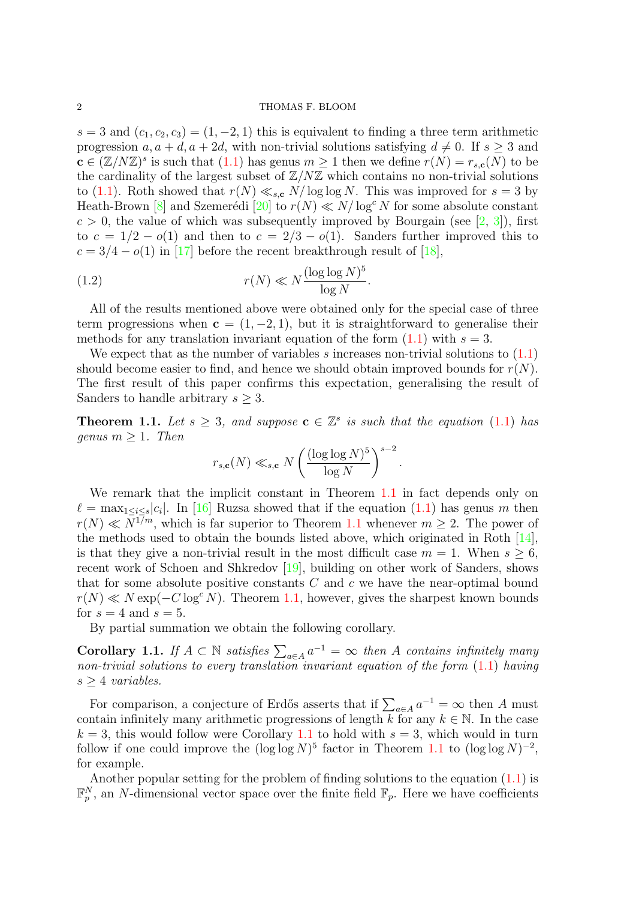$s = 3$  and  $(c_1, c_2, c_3) = (1, -2, 1)$  this is equivalent to finding a three term arithmetic progression  $a, a + d, a + 2d$ , with non-trivial solutions satisfying  $d \neq 0$ . If  $s > 3$  and  $\mathbf{c} \in (\mathbb{Z}/N\mathbb{Z})^s$  is such that  $(1.1)$  has genus  $m \geq 1$  then we define  $r(N) = r_{s,\mathbf{c}}(N)$  to be the cardinality of the largest subset of  $\mathbb{Z}/N\mathbb{Z}$  which contains no non-trivial solutions to [\(1.1\)](#page-0-0). Roth showed that  $r(N) \ll_{s,c} N/\log \log N$ . This was improved for  $s = 3$  by Heath-Brown [\[8\]](#page-18-3) and Szemerédi [\[20\]](#page-18-4) to  $r(N) \ll N/\log^c N$  for some absolute constant  $c > 0$ , the value of which was subsequently improved by Bourgain (see [\[2,](#page-18-5) [3\]](#page-18-6)), first to  $c = 1/2 - o(1)$  and then to  $c = 2/3 - o(1)$ . Sanders further improved this to  $c = 3/4 - o(1)$  in [\[17\]](#page-18-7) before the recent breakthrough result of [\[18\]](#page-18-8),

<span id="page-1-2"></span>(1.2) 
$$
r(N) \ll N \frac{(\log \log N)^5}{\log N}.
$$

All of the results mentioned above were obtained only for the special case of three term progressions when  $c = (1, -2, 1)$ , but it is straightforward to generalise their methods for any translation invariant equation of the form  $(1.1)$  with  $s = 3$ .

We expect that as the number of variables s increases non-trivial solutions to  $(1.1)$ should become easier to find, and hence we should obtain improved bounds for  $r(N)$ . The first result of this paper confirms this expectation, generalising the result of Sanders to handle arbitrary  $s \geq 3$ .

<span id="page-1-0"></span>**Theorem 1.1.** Let  $s \geq 3$ , and suppose  $\mathbf{c} \in \mathbb{Z}^s$  is such that the equation [\(1.1\)](#page-0-0) has genus  $m \geq 1$ . Then

$$
r_{s,\mathbf{c}}(N) \ll_{s,\mathbf{c}} N \left(\frac{(\log \log N)^5}{\log N}\right)^{s-2}.
$$

We remark that the implicit constant in Theorem [1.1](#page-1-0) in fact depends only on  $\ell = \max_{1 \leq i \leq s} |c_i|$ . In [\[16\]](#page-18-0) Ruzsa showed that if the equation [\(1.1\)](#page-0-0) has genus m then  $r(N) \ll N^{1/m}$ , which is far superior to Theorem [1.1](#page-1-0) whenever  $m > 2$ . The power of the methods used to obtain the bounds listed above, which originated in Roth [\[14\]](#page-18-1), is that they give a non-trivial result in the most difficult case  $m = 1$ . When  $s \geq 6$ , recent work of Schoen and Shkredov [\[19\]](#page-18-9), building on other work of Sanders, shows that for some absolute positive constants  $C$  and  $c$  we have the near-optimal bound  $r(N) \ll N \exp(-C \log^c N)$ . Theorem [1.1,](#page-1-0) however, gives the sharpest known bounds for  $s = 4$  and  $s = 5$ .

By partial summation we obtain the following corollary.

<span id="page-1-1"></span>Corollary 1.1. If  $A \subset \mathbb{N}$  satisfies  $\sum_{a \in A} a^{-1} = \infty$  then A contains infinitely many non-trivial solutions to every translation invariant equation of the form  $(1.1)$  having  $s \geq 4$  variables.

For comparison, a conjecture of Erdős asserts that if  $\sum_{a \in A} a^{-1} = \infty$  then A must contain infinitely many arithmetic progressions of length k for any  $k \in \mathbb{N}$ . In the case  $k = 3$ , this would follow were Corollary [1.1](#page-1-1) to hold with  $s = 3$ , which would in turn follow if one could improve the  $(\log \log N)^5$  factor in Theorem [1.1](#page-1-0) to  $(\log \log N)^{-2}$ , for example.

Another popular setting for the problem of finding solutions to the equation  $(1.1)$  is  $\mathbb{F}_p^N$ , an N-dimensional vector space over the finite field  $\mathbb{F}_p$ . Here we have coefficients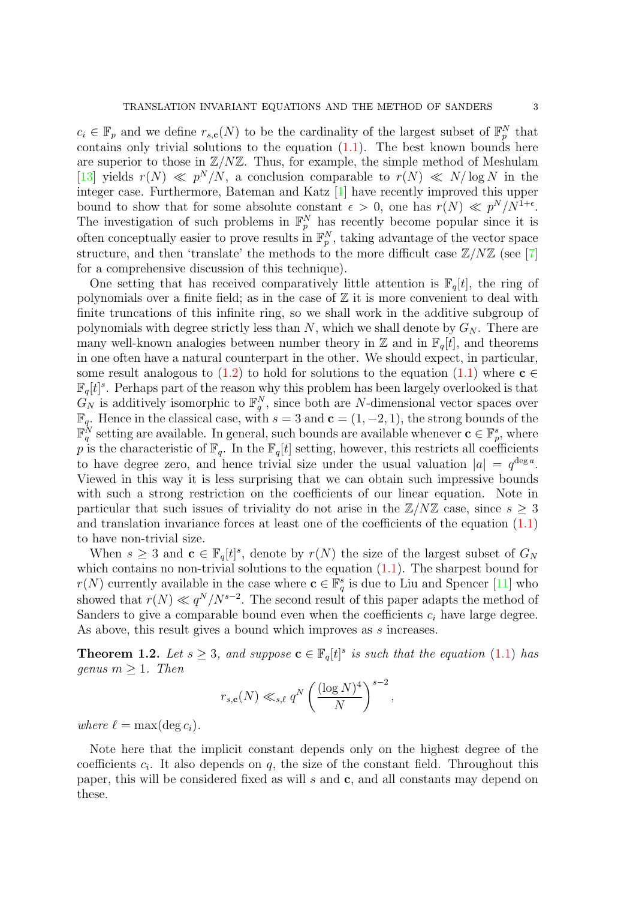$c_i \in \mathbb{F}_p$  and we define  $r_{s,c}(N)$  to be the cardinality of the largest subset of  $\mathbb{F}_p^N$  that contains only trivial solutions to the equation  $(1.1)$ . The best known bounds here are superior to those in  $\mathbb{Z}/N\mathbb{Z}$ . Thus, for example, the simple method of Meshulam [\[13\]](#page-18-10) yields  $r(N) \ll p^N/N$ , a conclusion comparable to  $r(N) \ll N/\log N$  in the integer case. Furthermore, Bateman and Katz [\[1\]](#page-18-11) have recently improved this upper bound to show that for some absolute constant  $\epsilon > 0$ , one has  $r(N) \ll p^N/N^{1+\epsilon}$ . The investigation of such problems in  $\mathbb{F}_p^N$  has recently become popular since it is often conceptually easier to prove results in  $\mathbb{F}_p^N$ , taking advantage of the vector space structure, and then 'translate' the methods to the more difficult case  $\mathbb{Z}/N\mathbb{Z}$  (see [\[7\]](#page-18-12) for a comprehensive discussion of this technique).

One setting that has received comparatively little attention is  $\mathbb{F}_q[t]$ , the ring of polynomials over a finite field; as in the case of  $\mathbb Z$  it is more convenient to deal with finite truncations of this infinite ring, so we shall work in the additive subgroup of polynomials with degree strictly less than  $N$ , which we shall denote by  $G_N$ . There are many well-known analogies between number theory in  $\mathbb{Z}$  and in  $\mathbb{F}_q[t]$ , and theorems in one often have a natural counterpart in the other. We should expect, in particular, some result analogous to [\(1.2\)](#page-1-2) to hold for solutions to the equation [\(1.1\)](#page-0-0) where  $c \in \mathcal{L}$  $\mathbb{F}_q[t]^s$ . Perhaps part of the reason why this problem has been largely overlooked is that  $G_N$  is additively isomorphic to  $\mathbb{F}_q^N$ , since both are N-dimensional vector spaces over  $\mathbb{F}_q$ . Hence in the classical case, with  $s = 3$  and  $\mathbf{c} = (1, -2, 1)$ , the strong bounds of the  $\mathbb{F}_q^N$  setting are available. In general, such bounds are available whenever  $\mathbf{c} \in \mathbb{F}_p^s$ , where p is the characteristic of  $\mathbb{F}_q$ . In the  $\mathbb{F}_q[t]$  setting, however, this restricts all coefficients to have degree zero, and hence trivial size under the usual valuation  $|a| = q^{\deg a}$ . Viewed in this way it is less surprising that we can obtain such impressive bounds with such a strong restriction on the coefficients of our linear equation. Note in particular that such issues of triviality do not arise in the  $\mathbb{Z}/N\mathbb{Z}$  case, since  $s \geq 3$ and translation invariance forces at least one of the coefficients of the equation [\(1.1\)](#page-0-0) to have non-trivial size.

When  $s \geq 3$  and  $\mathbf{c} \in \mathbb{F}_q[t]^s$ , denote by  $r(N)$  the size of the largest subset of  $G_N$ which contains no non-trivial solutions to the equation  $(1.1)$ . The sharpest bound for  $r(N)$  currently available in the case where  $\mathbf{c} \in \mathbb{F}_q^s$  is due to Liu and Spencer [\[11\]](#page-18-13) who showed that  $r(N) \ll q^N/N^{s-2}$ . The second result of this paper adapts the method of Sanders to give a comparable bound even when the coefficients  $c_i$  have large degree. As above, this result gives a bound which improves as s increases.

<span id="page-2-0"></span>**Theorem 1.2.** Let  $s \geq 3$ , and suppose  $\mathbf{c} \in \mathbb{F}_q[t]^s$  is such that the equation [\(1.1\)](#page-0-0) has genus  $m \geq 1$ . Then

$$
r_{s,\mathbf{c}}(N) \ll_{s,\ell} q^N \left(\frac{(\log N)^4}{N}\right)^{s-2},\,
$$

where  $\ell = \max(\deg c_i)$ .

Note here that the implicit constant depends only on the highest degree of the coefficients  $c_i$ . It also depends on  $q$ , the size of the constant field. Throughout this paper, this will be considered fixed as will  $s$  and  $c$ , and all constants may depend on these.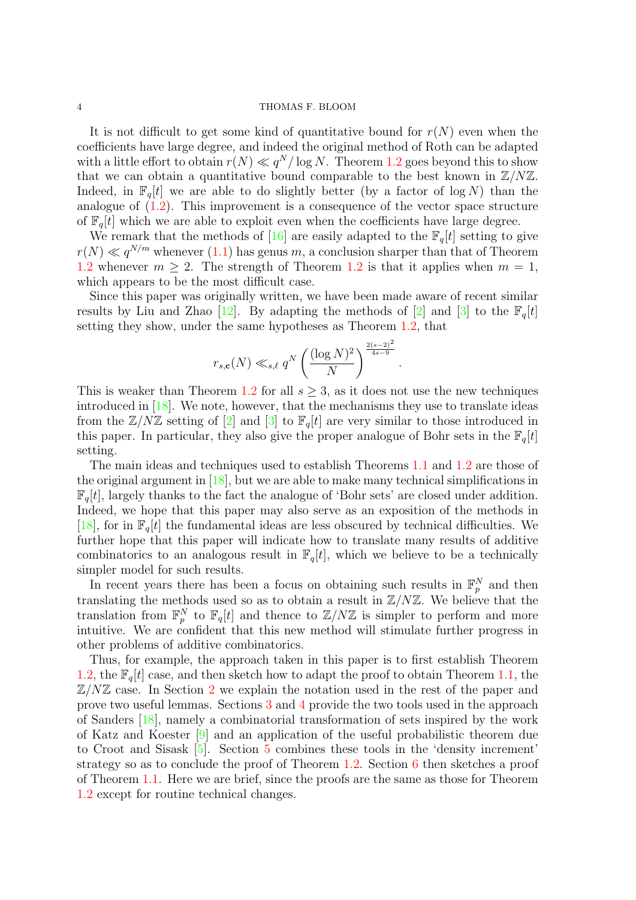It is not difficult to get some kind of quantitative bound for  $r(N)$  even when the coefficients have large degree, and indeed the original method of Roth can be adapted with a little effort to obtain  $r(N) \ll q^N/\log N$ . Theorem [1.2](#page-2-0) goes beyond this to show that we can obtain a quantitative bound comparable to the best known in  $\mathbb{Z}/N\mathbb{Z}$ . Indeed, in  $\mathbb{F}_q[t]$  we are able to do slightly better (by a factor of log N) than the analogue of  $(1.2)$ . This improvement is a consequence of the vector space structure of  $\mathbb{F}_q[t]$  which we are able to exploit even when the coefficients have large degree.

We remark that the methods of [\[16\]](#page-18-0) are easily adapted to the  $\mathbb{F}_q[t]$  setting to give  $r(N) \ll q^{N/m}$  whenever [\(1.1\)](#page-0-0) has genus m, a conclusion sharper than that of Theorem [1.2](#page-2-0) whenever  $m \geq 2$ . The strength of Theorem 1.2 is that it applies when  $m = 1$ , which appears to be the most difficult case.

Since this paper was originally written, we have been made aware of recent similar results by Liu and Zhao [\[12\]](#page-18-14). By adapting the methods of [\[2\]](#page-18-5) and [\[3\]](#page-18-6) to the  $\mathbb{F}_q[t]$ setting they show, under the same hypotheses as Theorem [1.2,](#page-2-0) that

$$
r_{s,c}(N) \ll_{s,\ell} q^N \left(\frac{(\log N)^2}{N}\right)^{\frac{2(s-2)^2}{4s-9}}
$$

.

This is weaker than Theorem [1.2](#page-2-0) for all  $s \geq 3$ , as it does not use the new techniques introduced in [\[18\]](#page-18-8). We note, however, that the mechanisms they use to translate ideas from the  $\mathbb{Z}/N\mathbb{Z}$  setting of  $[2]$  and  $[3]$  to  $\mathbb{F}_q[t]$  are very similar to those introduced in this paper. In particular, they also give the proper analogue of Bohr sets in the  $\mathbb{F}_q[t]$ setting.

The main ideas and techniques used to establish Theorems [1.1](#page-1-0) and [1.2](#page-2-0) are those of the original argument in  $[18]$ , but we are able to make many technical simplifications in  $\mathbb{F}_q[t]$ , largely thanks to the fact the analogue of 'Bohr sets' are closed under addition. Indeed, we hope that this paper may also serve as an exposition of the methods in [\[18\]](#page-18-8), for in  $\mathbb{F}_q[t]$  the fundamental ideas are less obscured by technical difficulties. We further hope that this paper will indicate how to translate many results of additive combinatorics to an analogous result in  $\mathbb{F}_q[t]$ , which we believe to be a technically simpler model for such results.

In recent years there has been a focus on obtaining such results in  $\mathbb{F}_p^N$  and then translating the methods used so as to obtain a result in  $\mathbb{Z}/N\mathbb{Z}$ . We believe that the translation from  $\mathbb{F}_p^N$  to  $\mathbb{F}_q[t]$  and thence to  $\mathbb{Z}/N\mathbb{Z}$  is simpler to perform and more intuitive. We are confident that this new method will stimulate further progress in other problems of additive combinatorics.

Thus, for example, the approach taken in this paper is to first establish Theorem [1.2,](#page-2-0) the  $\mathbb{F}_q[t]$  case, and then sketch how to adapt the proof to obtain Theorem [1.1,](#page-1-0) the  $\mathbb{Z}/N\mathbb{Z}$  case. In Section [2](#page-4-0) we explain the notation used in the rest of the paper and prove two useful lemmas. Sections [3](#page-8-0) and [4](#page-11-0) provide the two tools used in the approach of Sanders [\[18\]](#page-18-8), namely a combinatorial transformation of sets inspired by the work of Katz and Koester [\[9\]](#page-18-15) and an application of the useful probabilistic theorem due to Croot and Sisask [\[5\]](#page-18-16). Section [5](#page-13-0) combines these tools in the 'density increment' strategy so as to conclude the proof of Theorem [1.2.](#page-2-0) Section [6](#page-15-0) then sketches a proof of Theorem [1.1.](#page-1-0) Here we are brief, since the proofs are the same as those for Theorem [1.2](#page-2-0) except for routine technical changes.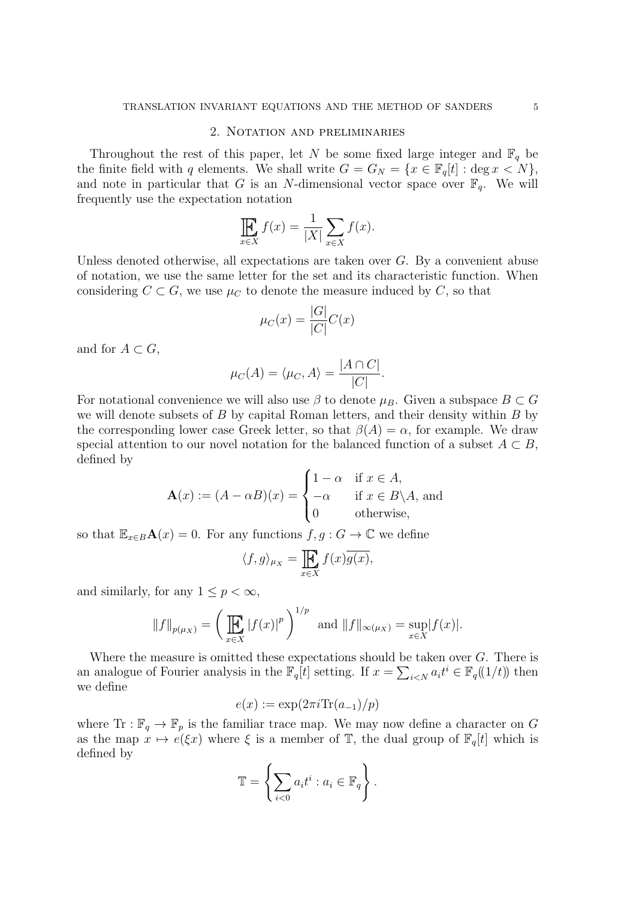### 2. Notation and preliminaries

<span id="page-4-0"></span>Throughout the rest of this paper, let N be some fixed large integer and  $\mathbb{F}_q$  be the finite field with q elements. We shall write  $G = G_N = \{x \in \mathbb{F}_q[t] : \text{deg } x < N\},\$ and note in particular that G is an N-dimensional vector space over  $\mathbb{F}_q$ . We will frequently use the expectation notation

$$
\prod_{x \in X} f(x) = \frac{1}{|X|} \sum_{x \in X} f(x).
$$

Unless denoted otherwise, all expectations are taken over  $G$ . By a convenient abuse of notation, we use the same letter for the set and its characteristic function. When considering  $C \subset G$ , we use  $\mu_C$  to denote the measure induced by C, so that

$$
\mu_C(x) = \frac{|G|}{|C|}C(x)
$$

and for  $A \subset G$ ,

$$
\mu_C(A) = \langle \mu_C, A \rangle = \frac{|A \cap C|}{|C|}.
$$

For notational convenience we will also use  $\beta$  to denote  $\mu_B$ . Given a subspace  $B \subset G$ we will denote subsets of  $B$  by capital Roman letters, and their density within  $B$  by the corresponding lower case Greek letter, so that  $\beta(A) = \alpha$ , for example. We draw special attention to our novel notation for the balanced function of a subset  $A \subset B$ , defined by

$$
\mathbf{A}(x) := (A - \alpha B)(x) = \begin{cases} 1 - \alpha & \text{if } x \in A, \\ -\alpha & \text{if } x \in B \backslash A, \text{ and} \\ 0 & \text{otherwise,} \end{cases}
$$

so that  $\mathbb{E}_{x\in B}\mathbf{A}(x)=0$ . For any functions  $f, g: G\to \mathbb{C}$  we define

$$
\langle f, g \rangle_{\mu_X} = \prod_{x \in X} f(x) \overline{g(x)},
$$

and similarly, for any  $1 \leq p < \infty$ ,

$$
||f||_{p(\mu_X)} = \left(\prod_{x \in X} |f(x)|^p\right)^{1/p}
$$
 and  $||f||_{\infty(\mu_X)} = \sup_{x \in X} |f(x)|$ .

Where the measure is omitted these expectations should be taken over G. There is an analogue of Fourier analysis in the  $\mathbb{F}_q[t]$  setting. If  $x = \sum_{i \le N} a_i t^i \in \mathbb{F}_q((1/t))$  then we define

$$
e(x) := \exp(2\pi i \text{Tr}(a_{-1})/p)
$$

where Tr :  $\mathbb{F}_q \to \mathbb{F}_p$  is the familiar trace map. We may now define a character on G as the map  $x \mapsto e(\xi x)$  where  $\xi$  is a member of  $\mathbb{T}$ , the dual group of  $\mathbb{F}_q[t]$  which is defined by

$$
\mathbb{T} = \left\{ \sum_{i < 0} a_i t^i : a_i \in \mathbb{F}_q \right\}.
$$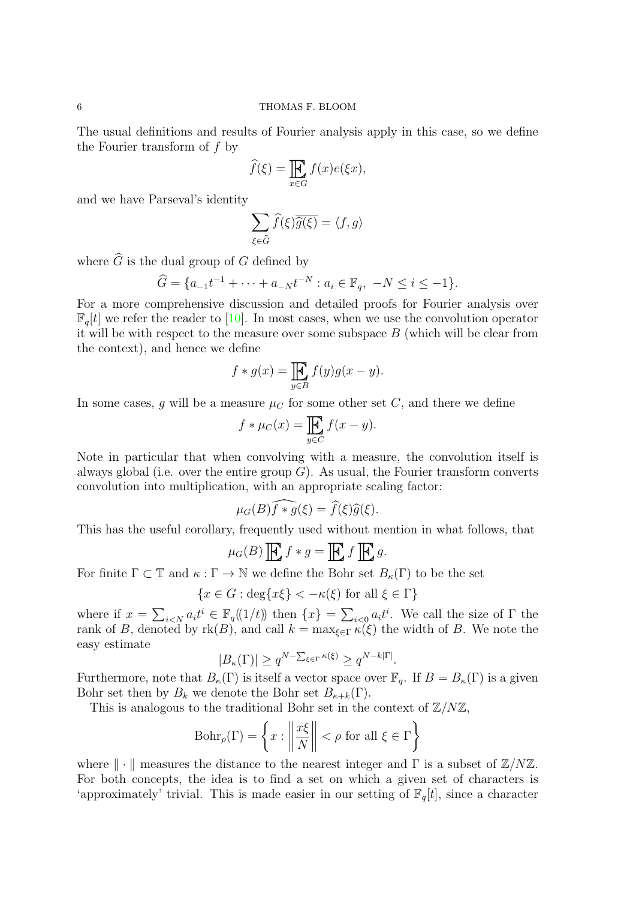The usual definitions and results of Fourier analysis apply in this case, so we define the Fourier transform of f by

$$
\widehat{f}(\xi) = \prod_{x \in G} f(x)e(\xi x),
$$

and we have Parseval's identity

$$
\sum_{\xi\in\widehat{G}}\widehat{f}(\xi)\overline{\widehat{g}(\xi)}=\langle f,g\rangle
$$

where  $\widehat{G}$  is the dual group of  $G$  defined by

$$
\widehat{G} = \{a_{-1}t^{-1} + \dots + a_{-N}t^{-N} : a_i \in \mathbb{F}_q, \ -N \le i \le -1\}.
$$

For a more comprehensive discussion and detailed proofs for Fourier analysis over  $\mathbb{F}_q[t]$  we refer the reader to [\[10\]](#page-18-17). In most cases, when we use the convolution operator it will be with respect to the measure over some subspace  $B$  (which will be clear from the context), and hence we define

$$
f * g(x) = \prod_{y \in B} f(y)g(x - y).
$$

In some cases, q will be a measure  $\mu_C$  for some other set C, and there we define

$$
f * \mu_C(x) = \prod_{y \in C} f(x - y).
$$

Note in particular that when convolving with a measure, the convolution itself is always global (i.e. over the entire group  $G$ ). As usual, the Fourier transform converts convolution into multiplication, with an appropriate scaling factor:

$$
\mu_G(B)\widehat{f*g}(\xi) = \widehat{f}(\xi)\widehat{g}(\xi).
$$

This has the useful corollary, frequently used without mention in what follows, that

$$
\mu_G(B) \mathbf{E} f * g = \mathbf{E} f \mathbf{E} g.
$$

For finite  $\Gamma \subset \mathbb{T}$  and  $\kappa : \Gamma \to \mathbb{N}$  we define the Bohr set  $B_{\kappa}(\Gamma)$  to be the set

$$
\{x \in G : \deg\{x\xi\} < -\kappa(\xi) \text{ for all } \xi \in \Gamma\}
$$

where if  $x = \sum_{i \leq N} a_i t^i \in \mathbb{F}_q((1/t))$  then  $\{x\} = \sum_{i \leq 0} a_i t^i$ . We call the size of  $\Gamma$  the rank of B, denoted by  $rk(B)$ , and call  $k = \max_{\xi \in \Gamma} \kappa(\xi)$  the width of B. We note the easy estimate

$$
|B_{\kappa}(\Gamma)| \ge q^{N-\sum_{\xi \in \Gamma} \kappa(\xi)} \ge q^{N-k|\Gamma|}.
$$

Furthermore, note that  $B_{\kappa}(\Gamma)$  is itself a vector space over  $\mathbb{F}_q$ . If  $B = B_{\kappa}(\Gamma)$  is a given Bohr set then by  $B_k$  we denote the Bohr set  $B_{\kappa+k}(\Gamma)$ .

This is analogous to the traditional Bohr set in the context of  $\mathbb{Z}/N\mathbb{Z}$ ,

$$
\operatorname{Bohr}_{\rho}(\Gamma) = \left\{ x : \left\| \frac{x\xi}{N} \right\| < \rho \text{ for all } \xi \in \Gamma \right\}
$$

where  $\|\cdot\|$  measures the distance to the nearest integer and  $\Gamma$  is a subset of  $\mathbb{Z}/N\mathbb{Z}$ . For both concepts, the idea is to find a set on which a given set of characters is 'approximately' trivial. This is made easier in our setting of  $\mathbb{F}_q[t]$ , since a character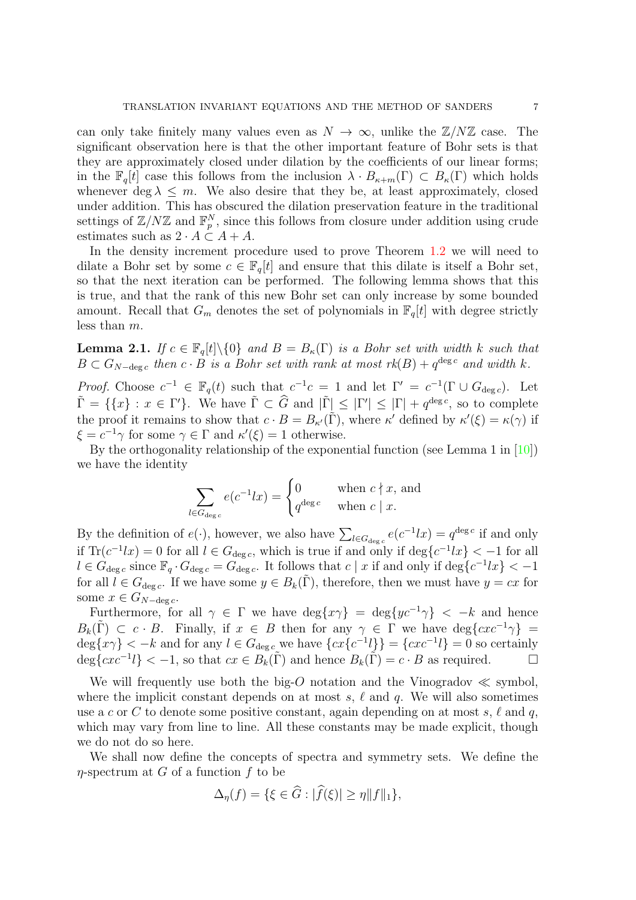can only take finitely many values even as  $N \to \infty$ , unlike the  $\mathbb{Z}/N\mathbb{Z}$  case. The significant observation here is that the other important feature of Bohr sets is that they are approximately closed under dilation by the coefficients of our linear forms; in the  $\mathbb{F}_q[t]$  case this follows from the inclusion  $\lambda \cdot B_{\kappa+m}(\Gamma) \subset B_{\kappa}(\Gamma)$  which holds whenever deg  $\lambda \leq m$ . We also desire that they be, at least approximately, closed under addition. This has obscured the dilation preservation feature in the traditional settings of  $\mathbb{Z}/N\mathbb{Z}$  and  $\mathbb{F}_p^N$ , since this follows from closure under addition using crude estimates such as  $2 \cdot A \subset A + A$ .

In the density increment procedure used to prove Theorem [1.2](#page-2-0) we will need to dilate a Bohr set by some  $c \in \mathbb{F}_q[t]$  and ensure that this dilate is itself a Bohr set, so that the next iteration can be performed. The following lemma shows that this is true, and that the rank of this new Bohr set can only increase by some bounded amount. Recall that  $G_m$  denotes the set of polynomials in  $\mathbb{F}_q[t]$  with degree strictly less than m.

<span id="page-6-0"></span>**Lemma 2.1.** If  $c \in \mathbb{F}_q[t] \setminus \{0\}$  and  $B = B_{\kappa}(\Gamma)$  is a Bohr set with width k such that  $B \subset G_{N-\text{deg }c}$  then  $c \cdot B$  is a Bohr set with rank at most  $rk(B) + q^{\text{deg }c}$  and width k.

*Proof.* Choose  $c^{-1} \in \mathbb{F}_q(t)$  such that  $c^{-1}c = 1$  and let  $\Gamma' = c^{-1}(\Gamma \cup G_{\text{deg }c})$ . Let  $\tilde{\Gamma} = \{ \{x\} : x \in \Gamma' \}.$  We have  $\tilde{\Gamma} \subset \hat{G}$  and  $|\tilde{\Gamma}| \leq |\Gamma'| \leq |\Gamma| + q^{\deg c}$ , so to complete the proof it remains to show that  $c \cdot B = B_{\kappa'}(\tilde{\Gamma})$ , where  $\kappa'$  defined by  $\kappa'(\xi) = \kappa(\gamma)$  if  $\xi = c^{-1}\gamma$  for some  $\gamma \in \Gamma$  and  $\kappa'(\xi) = 1$  otherwise.

By the orthogonality relationship of the exponential function (see Lemma 1 in [\[10\]](#page-18-17)) we have the identity

$$
\sum_{l \in G_{\deg c}} e(c^{-1}lx) = \begin{cases} 0 & \text{when } c \nmid x, \text{ and} \\ q^{\deg c} & \text{when } c \mid x. \end{cases}
$$

By the definition of  $e(\cdot)$ , however, we also have  $\sum_{l \in G_{\text{deg }c}} e(c^{-1}lx) = q^{\text{deg }c}$  if and only if  $\text{Tr}(c^{-1}lx) = 0$  for all  $l \in G_{\text{deg }c}$ , which is true if and only if  $\text{deg}\{c^{-1}lx\} < -1$  for all  $l \in \hat{G}_{\deg c}$  since  $\mathbb{F}_q \cdot G_{\deg c} = \hat{G}_{\deg c}$ . It follows that  $c \mid x$  if and only if  $\deg\{c^{-1}lx\} < -1$ for all  $l \in G_{\text{deg }c}$ . If we have some  $y \in B_k(\Gamma)$ , therefore, then we must have  $y = cx$  for some  $x \in G_{N-\deg c}$ .

Furthermore, for all  $\gamma \in \Gamma$  we have  $\deg\{x\gamma\} = \deg\{yc^{-1}\gamma\} < -k$  and hence  $B_k(\tilde{\Gamma}) \subset c \cdot B$ . Finally, if  $x \in B$  then for any  $\gamma \in \Gamma$  we have  $\deg\{cxc^{-1}\gamma\}$  $\deg\{x\gamma\} < -k$  and for any  $l \in G_{\deg c}$  we have  $\{cx\{c^{-1}l\}\} = \{cxc^{-1}l\} = 0$  so certainly  $\deg\{cxc^{-1}l\} < -1$ , so that  $cx \in B_k(\tilde{\Gamma})$  and hence  $B_k(\tilde{\Gamma}) = c \cdot B$  as required.

We will frequently use both the big-O notation and the Vinogradov  $\ll$  symbol, where the implicit constant depends on at most s,  $\ell$  and q. We will also sometimes use a c or C to denote some positive constant, again depending on at most s,  $\ell$  and q, which may vary from line to line. All these constants may be made explicit, though we do not do so here.

We shall now define the concepts of spectra and symmetry sets. We define the  $\eta$ -spectrum at G of a function f to be

$$
\Delta_{\eta}(f) = \{ \xi \in G : |f(\xi)| \ge \eta \|f\|_1 \},\
$$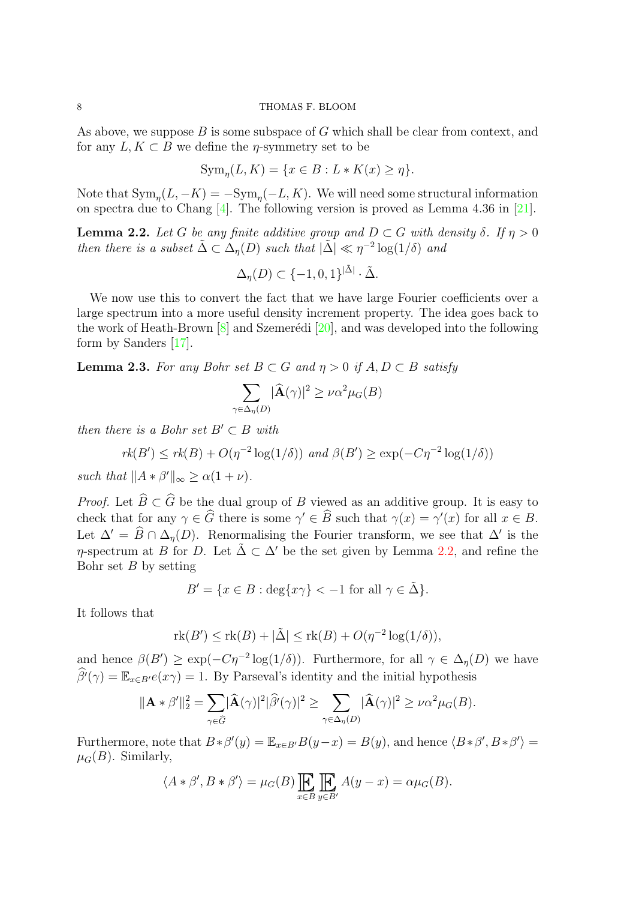As above, we suppose  $B$  is some subspace of  $G$  which shall be clear from context, and for any  $L, K \subset B$  we define the *n*-symmetry set to be

$$
\operatorname{Sym}_{\eta}(L, K) = \{ x \in B : L \ast K(x) \ge \eta \}.
$$

Note that  $\text{Sym}_{\eta}(L, -K) = -\text{Sym}_{\eta}(-L, K)$ . We will need some structural information on spectra due to Chang [\[4\]](#page-18-18). The following version is proved as Lemma 4.36 in [\[21\]](#page-18-19).

<span id="page-7-0"></span>**Lemma 2.2.** Let G be any finite additive group and  $D \subset G$  with density  $\delta$ . If  $\eta > 0$ then there is a subset  $\tilde{\Delta} \subset \tilde{\Delta}_\eta(D)$  such that  $|\tilde{\Delta}| \ll \eta^{-2} \log(1/\delta)$  and

$$
\Delta_{\eta}(D) \subset \{-1,0,1\}^{|\tilde{\Delta}|} \cdot \tilde{\Delta}.
$$

We now use this to convert the fact that we have large Fourier coefficients over a large spectrum into a more useful density increment property. The idea goes back to the work of Heath-Brown  $[8]$  and Szemerédi  $[20]$ , and was developed into the following form by Sanders [\[17\]](#page-18-7).

<span id="page-7-1"></span>**Lemma 2.3.** For any Bohr set  $B \subset G$  and  $\eta > 0$  if  $A, D \subset B$  satisfy

$$
\sum_{\gamma \in \Delta_{\eta}(D)} |\widehat{\mathbf{A}}(\gamma)|^2 \ge \nu \alpha^2 \mu_G(B)
$$

then there is a Bohr set  $B' \subset B$  with

$$
rk(B') \leq rk(B) + O(\eta^{-2}\log(1/\delta)) \text{ and } \beta(B') \geq \exp(-C\eta^{-2}\log(1/\delta))
$$

such that  $||A * \beta'||_{\infty} \ge \alpha(1 + \nu)$ .

*Proof.* Let  $\widehat{B} \subset \widehat{G}$  be the dual group of B viewed as an additive group. It is easy to check that for any  $\gamma \in \widehat{G}$  there is some  $\gamma' \in \widehat{B}$  such that  $\gamma(x) = \gamma'(x)$  for all  $x \in B$ . Let  $\Delta' = \widehat{B} \cap \Delta_{\eta}(D)$ . Renormalising the Fourier transform, we see that  $\Delta'$  is the  $\eta$ -spectrum at B for D. Let  $\tilde{\Delta} \subset \Delta'$  be the set given by Lemma [2.2,](#page-7-0) and refine the Bohr set  $B$  by setting

$$
B' = \{ x \in B : \deg\{x\gamma\} < -1 \text{ for all } \gamma \in \tilde{\Delta} \}.
$$

It follows that

$$
rk(B') \leq rk(B) + |\tilde{\Delta}| \leq rk(B) + O(\eta^{-2} \log(1/\delta)),
$$

and hence  $\beta(B') \geq \exp(-C\eta^{-2} \log(1/\delta))$ . Furthermore, for all  $\gamma \in \Delta_{\eta}(D)$  we have  $\widehat{\beta}^{\prime}(\gamma) = \mathbb{E}_{x \in B'} e(x\gamma) = 1$ . By Parseval's identity and the initial hypothesis

$$
\|\mathbf{A} * \beta'\|_2^2 = \sum_{\gamma \in \widehat{G}} |\widehat{\mathbf{A}}(\gamma)|^2 |\widehat{\beta'}(\gamma)|^2 \ge \sum_{\gamma \in \Delta_{\eta}(D)} |\widehat{\mathbf{A}}(\gamma)|^2 \ge \nu \alpha^2 \mu_G(B).
$$

Furthermore, note that  $B * \beta'(y) = \mathbb{E}_{x \in B'} B(y-x) = B(y)$ , and hence  $\langle B * \beta', B * \beta' \rangle =$  $\mu_G(B)$ . Similarly,

$$
\langle A * \beta', B * \beta' \rangle = \mu_G(B) \prod_{x \in B} \prod_{y \in B'} A(y - x) = \alpha \mu_G(B).
$$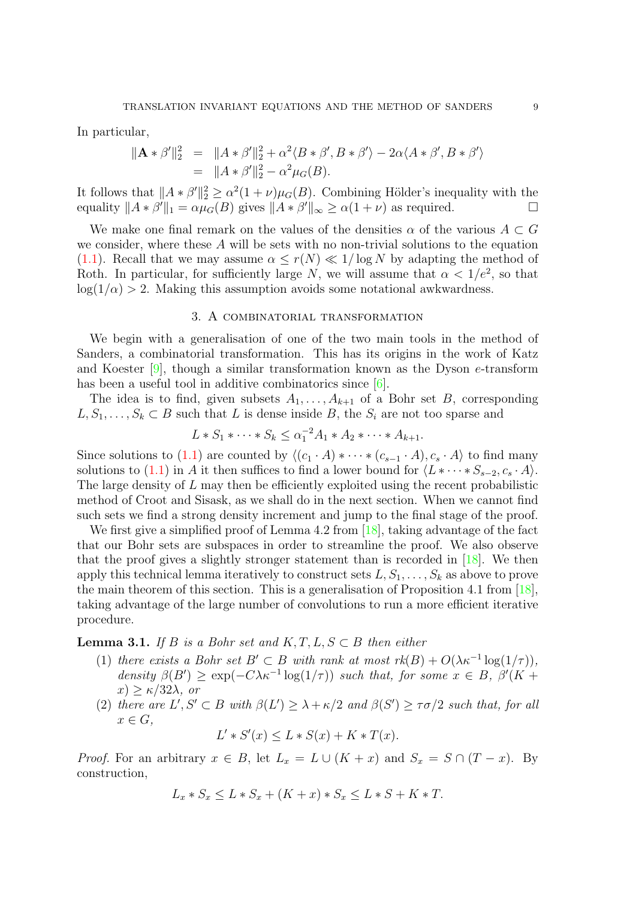In particular,

$$
\begin{array}{rcl}\n\|\mathbf{A} * \beta'\|_2^2 &=& \|A * \beta'\|_2^2 + \alpha^2 \langle B * \beta', B * \beta' \rangle - 2\alpha \langle A * \beta', B * \beta' \rangle \\
&=& \|A * \beta'\|_2^2 - \alpha^2 \mu_G(B).\n\end{array}
$$

It follows that  $||A * \beta'||_2^2 \ge \alpha^2(1+\nu)\mu_G(B)$ . Combining Hölder's inequality with the equality  $||A * \beta'||_1 = \alpha \mu_G(B)$  gives  $||A * \beta'||_{\infty} \ge \alpha(1 + \nu)$  as required.

We make one final remark on the values of the densities  $\alpha$  of the various  $A \subset G$ we consider, where these A will be sets with no non-trivial solutions to the equation [\(1.1\)](#page-0-0). Recall that we may assume  $\alpha \leq r(N) \ll 1/\log N$  by adapting the method of Roth. In particular, for sufficiently large N, we will assume that  $\alpha < 1/e^2$ , so that  $log(1/\alpha) > 2$ . Making this assumption avoids some notational awkwardness.

### 3. A combinatorial transformation

<span id="page-8-0"></span>We begin with a generalisation of one of the two main tools in the method of Sanders, a combinatorial transformation. This has its origins in the work of Katz and Koester  $[9]$ , though a similar transformation known as the Dyson e-transform has been a useful tool in additive combinatorics since  $[6]$ .

The idea is to find, given subsets  $A_1, \ldots, A_{k+1}$  of a Bohr set B, corresponding  $L, S_1, \ldots, S_k \subset B$  such that L is dense inside B, the  $S_i$  are not too sparse and

$$
L * S_1 * \cdots * S_k \leq \alpha_1^{-2} A_1 * A_2 * \cdots * A_{k+1}.
$$

Since solutions to [\(1.1\)](#page-0-0) are counted by  $\langle (c_1 \cdot A) * \cdots * (c_{s-1} \cdot A), c_s \cdot A \rangle$  to find many solutions to [\(1.1\)](#page-0-0) in A it then suffices to find a lower bound for  $\langle L^* \cdots * S_{s-2}, c_s \cdot A \rangle$ . The large density of L may then be efficiently exploited using the recent probabilistic method of Croot and Sisask, as we shall do in the next section. When we cannot find such sets we find a strong density increment and jump to the final stage of the proof.

We first give a simplified proof of Lemma 4.2 from [\[18\]](#page-18-8), taking advantage of the fact that our Bohr sets are subspaces in order to streamline the proof. We also observe that the proof gives a slightly stronger statement than is recorded in [\[18\]](#page-18-8). We then apply this technical lemma iteratively to construct sets  $L, S_1, \ldots, S_k$  as above to prove the main theorem of this section. This is a generalisation of Proposition 4.1 from [\[18\]](#page-18-8), taking advantage of the large number of convolutions to run a more efficient iterative procedure.

<span id="page-8-1"></span>**Lemma 3.1.** If B is a Bohr set and  $K, T, L, S \subset B$  then either

- (1) there exists a Bohr set  $B' \subset B$  with rank at most  $rk(B) + O(\lambda \kappa^{-1} \log(1/\tau)),$ density  $\beta(B') \geq \exp(-C\lambda \kappa^{-1} \log(1/\tau))$  such that, for some  $x \in B$ ,  $\beta'(K +$  $x) > \kappa/32\lambda$ , or
- (2) there are  $L', S' \subset B$  with  $\beta(L') \geq \lambda + \kappa/2$  and  $\beta(S') \geq \tau \sigma/2$  such that, for all  $x \in G$ ,

$$
L' * S'(x) \le L * S(x) + K * T(x).
$$

*Proof.* For an arbitrary  $x \in B$ , let  $L_x = L \cup (K + x)$  and  $S_x = S \cap (T - x)$ . By construction,

$$
L_x * S_x \le L * S_x + (K + x) * S_x \le L * S + K * T.
$$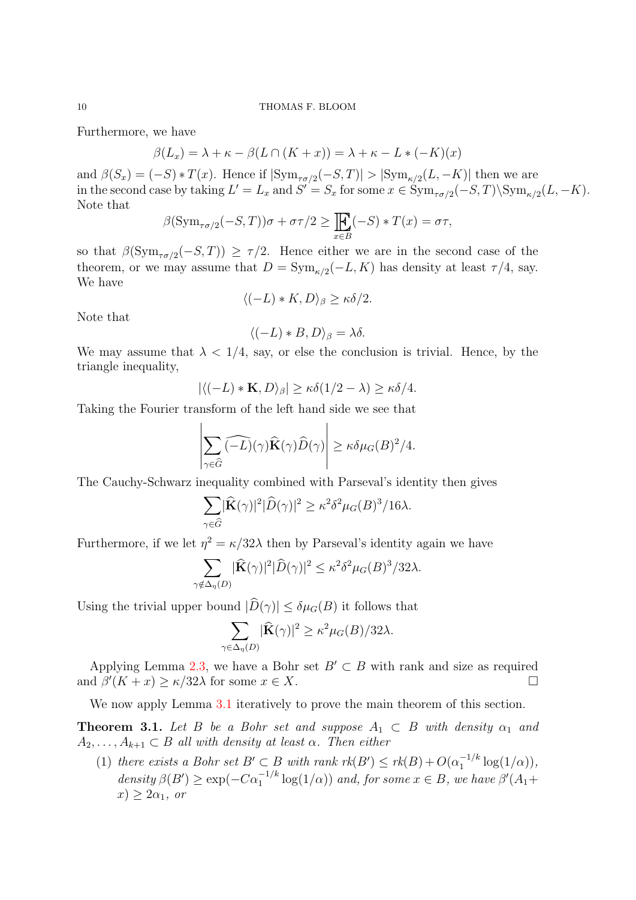Furthermore, we have

$$
\beta(L_x) = \lambda + \kappa - \beta(L \cap (K + x)) = \lambda + \kappa - L * (-K)(x)
$$

and  $\beta(S_x) = (-S) * T(x)$ . Hence if  $|\text{Sym}_{\tau \sigma/2}(-S,T)| > |\text{Sym}_{\kappa/2}(L,-K)|$  then we are in the second case by taking  $L' = L_x$  and  $S' = S_x$  for some  $x \in \text{Sym}_{\tau \sigma/2}(-S,T) \backslash \text{Sym}_{\kappa/2}(L,-K)$ . Note that

$$
\beta(\operatorname{Sym}_{\tau\sigma/2}(-S,T))\sigma + \sigma\tau/2 \ge \underset{x\in B}{\mathbb{E}}(-S) * T(x) = \sigma\tau,
$$

so that  $\beta(\mathrm{Sym}_{\tau \sigma/2}(-S,T)) \geq \tau/2$ . Hence either we are in the second case of the theorem, or we may assume that  $D = \text{Sym}_{\kappa/2}(-L, K)$  has density at least  $\tau/4$ , say. We have

$$
\langle (-L)*K,D\rangle_{\beta}\geq \kappa \delta/2.
$$

Note that

$$
\langle (-L) * B, D \rangle_{\beta} = \lambda \delta.
$$

We may assume that  $\lambda < 1/4$ , say, or else the conclusion is trivial. Hence, by the triangle inequality,

$$
|\langle (-L) * \mathbf{K}, D \rangle_{\beta}| \ge \kappa \delta(1/2 - \lambda) \ge \kappa \delta/4.
$$

Taking the Fourier transform of the left hand side we see that

$$
\left|\sum_{\gamma \in \widehat{G}} \widehat{(-L)}(\gamma) \widehat{\mathbf{K}}(\gamma) \widehat{D}(\gamma)\right| \geq \kappa \delta \mu_G(B)^2/4.
$$

The Cauchy-Schwarz inequality combined with Parseval's identity then gives

$$
\sum_{\gamma \in \widehat{G}} |\widehat{\mathbf{K}}(\gamma)|^2 |\widehat{D}(\gamma)|^2 \ge \kappa^2 \delta^2 \mu_G(B)^3 / 16\lambda.
$$

Furthermore, if we let  $\eta^2 = \kappa/32\lambda$  then by Parseval's identity again we have

$$
\sum_{\gamma \notin \Delta_{\eta}(D)} |\widehat{\mathbf{K}}(\gamma)|^2 |\widehat{D}(\gamma)|^2 \leq \kappa^2 \delta^2 \mu_G(B)^3 / 32\lambda.
$$

Using the trivial upper bound  $|\widehat{D}(\gamma)| \leq \delta \mu_G(B)$  it follows that

$$
\sum_{\gamma \in \Delta_{\eta}(D)} |\widehat{\mathbf{K}}(\gamma)|^2 \ge \kappa^2 \mu_G(B)/32\lambda.
$$

Applying Lemma [2.3,](#page-7-1) we have a Bohr set  $B' \subset B$  with rank and size as required and  $\beta'(K + x) \ge \kappa/32\lambda$  for some  $x \in X$ .

We now apply Lemma [3.1](#page-8-1) iteratively to prove the main theorem of this section.

<span id="page-9-0"></span>**Theorem 3.1.** Let B be a Bohr set and suppose  $A_1 \subset B$  with density  $\alpha_1$  and  $A_2, \ldots, A_{k+1} \subset B$  all with density at least  $\alpha$ . Then either

(1) there exists a Bohr set  $B' \subset B$  with rank  $rk(B') \leq rk(B) + O(\alpha_1^{-1/k})$  $\int_1^{-1/\kappa} \log(1/\alpha)$ ), density  $\beta(B') \geq \exp(-C\alpha_1^{-1/k} \log(1/\alpha))$  and, for some  $x \in B$ , we have  $\beta'(A_1 +$  $x) > 2\alpha_1$ , or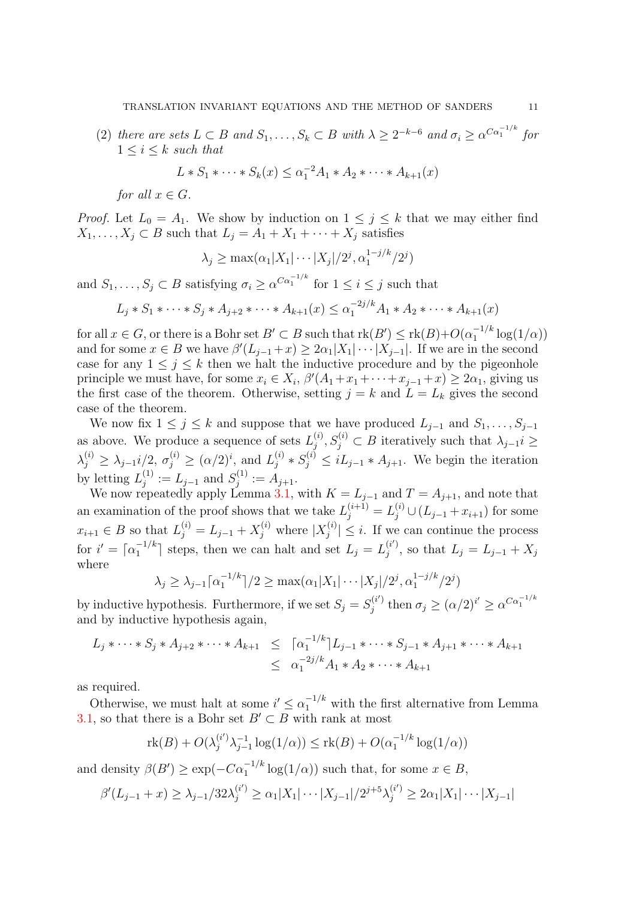(2) there are sets  $L \subset B$  and  $S_1, \ldots, S_k \subset B$  with  $\lambda \geq 2^{-k-6}$  and  $\sigma_i \geq \alpha^{C\alpha_1^{-1/k}}$  for  $1 \leq i \leq k$  such that

$$
L * S_1 * \cdots * S_k(x) \leq \alpha_1^{-2} A_1 * A_2 * \cdots * A_{k+1}(x)
$$

for all  $x \in G$ .

*Proof.* Let  $L_0 = A_1$ . We show by induction on  $1 \leq j \leq k$  that we may either find  $X_1, \ldots, X_j \subset B$  such that  $L_j = A_1 + X_1 + \cdots + X_j$  satisfies

$$
\lambda_j \ge \max(\alpha_1 | X_1 | \cdots | X_j | / 2^j, \alpha_1^{1-j/k} / 2^j)
$$

and  $S_1, \ldots, S_j \subset B$  satisfying  $\sigma_i \geq \alpha^{C\alpha_1^{-1/k}}$  for  $1 \leq i \leq j$  such that

$$
L_j * S_1 * \cdots * S_j * A_{j+2} * \cdots * A_{k+1}(x) \leq \alpha_1^{-2j/k} A_1 * A_2 * \cdots * A_{k+1}(x)
$$

for all  $x \in G$ , or there is a Bohr set  $B' \subset B$  such that  $rk(B') \leq rk(B)+O(\alpha_1^{-1/k})$  $\int_1^{-1/\kappa} \log(1/\alpha)$ and for some  $x \in B$  we have  $\beta'(L_{j-1}+x) \geq 2\alpha_1 |X_1| \cdots |X_{j-1}|$ . If we are in the second case for any  $1 \leq j \leq k$  then we halt the inductive procedure and by the pigeonhole principle we must have, for some  $x_i \in X_i$ ,  $\beta'(A_1 + x_1 + \cdots + x_{j-1} + x) \ge 2\alpha_1$ , giving us the first case of the theorem. Otherwise, setting  $j = k$  and  $L = L_k$  gives the second case of the theorem.

We now fix  $1 \leq j \leq k$  and suppose that we have produced  $L_{j-1}$  and  $S_1, \ldots, S_{j-1}$ as above. We produce a sequence of sets  $L_i^{(i)}$  $j^{(i)}$ ,  $S_j^{(i)} \subset B$  iteratively such that  $\lambda_{j-1}$  i  $\geq$  $\lambda_j^{(i)} \geq \lambda_{j-1} i/2, \sigma_j^{(i)} \geq (\alpha/2)^i$ , and  $L_j^{(i)}$  $j_j^{(i)} * S_j^{(i)} \leq iL_{j-1} * A_{j+1}$ . We begin the iteration by letting  $L_i^{(1)}$  $j^{(1)} := L_{j-1}$  and  $S_j^{(1)}$  $j^{(1)} := A_{j+1}.$ 

We now repeatedly apply Lemma [3.1,](#page-8-1) with  $K = L_{j-1}$  and  $T = A_{j+1}$ , and note that an examination of the proof shows that we take  $L_j^{(i+1)} = L_j^{(i)} \cup (L_{j-1} + x_{i+1})$  for some  $x_{i+1} \in B$  so that  $L_j^{(i)} = L_{j-1} + X_j^{(i)}$  where  $|X_j^{(i)}|$  $|j^{(i)}| \leq i$ . If we can continue the process for  $i' = \lceil \alpha_1^{-1/k} \rceil$  $\mathbb{E}_1^{-1/k}$  steps, then we can halt and set  $L_j = L_j^{(i')}$  $j^{(i)}$ , so that  $L_j = L_{j-1} + X_j$ where

$$
\lambda_j \geq \lambda_{j-1} \lceil \alpha_1^{-1/k} \rceil / 2 \geq \max(\alpha_1 |X_1| \cdots |X_j| / 2^j, \alpha_1^{1-j/k} / 2^j)
$$

by inductive hypothesis. Furthermore, if we set  $S_j = S_j^{(i')}$  $\sigma_j^{(i')}$  then  $\sigma_j \geq (\alpha/2)^{i'} \geq \alpha^{C\alpha_1^{-1/k}}$ and by inductive hypothesis again,

$$
L_j * \cdots * S_j * A_{j+2} * \cdots * A_{k+1} \leq \lceil \alpha_1^{-1/k} \rceil L_{j-1} * \cdots * S_{j-1} * A_{j+1} * \cdots * A_{k+1}
$$
  

$$
\leq \alpha_1^{-2j/k} A_1 * A_2 * \cdots * A_{k+1}
$$

as required.

Otherwise, we must halt at some  $i' \leq \alpha_1^{-1/k}$  with the first alternative from Lemma [3.1,](#page-8-1) so that there is a Bohr set  $B' \subset B$  with rank at most

$$
rk(B) + O(\lambda_j^{(i')} \lambda_{j-1}^{-1} \log(1/\alpha)) \leq rk(B) + O(\alpha_1^{-1/k} \log(1/\alpha))
$$

and density  $\beta(B') \ge \exp(-C\alpha_1^{-1/k} \log(1/\alpha))$  such that, for some  $x \in B$ ,

$$
\beta'(L_{j-1}+x) \ge \lambda_{j-1}/32\lambda_j^{(i')} \ge \alpha_1 |X_1| \cdots |X_{j-1}|/2^{j+5}\lambda_j^{(i')} \ge 2\alpha_1 |X_1| \cdots |X_{j-1}|
$$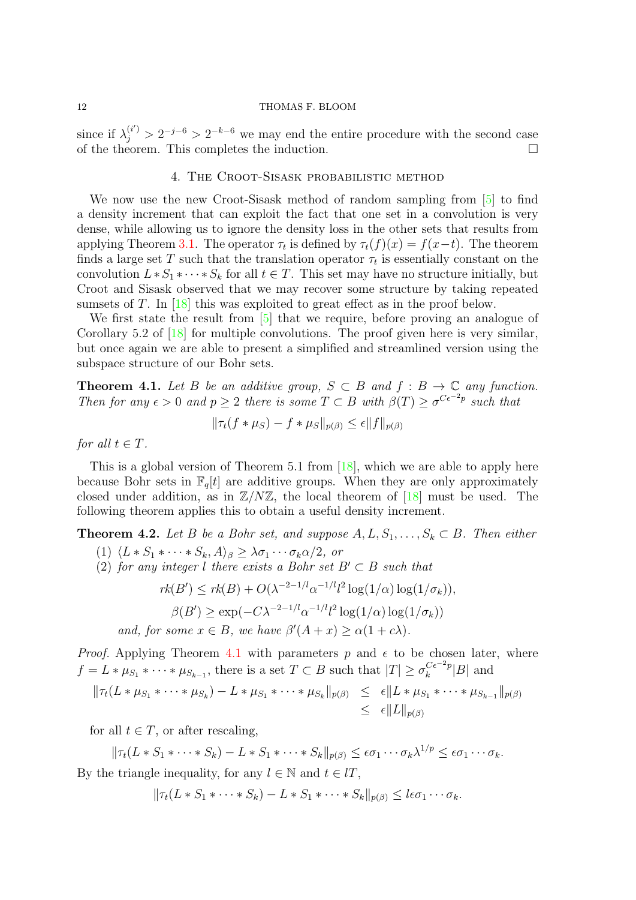since if  $\lambda_j^{(i')} > 2^{-j-6} > 2^{-k-6}$  we may end the entire procedure with the second case of the theorem. This completes the induction.  $\Box$ 

## 4. The Croot-Sisask probabilistic method

<span id="page-11-0"></span>We now use the new Croot-Sisask method of random sampling from  $\lceil 5 \rceil$  to find a density increment that can exploit the fact that one set in a convolution is very dense, while allowing us to ignore the density loss in the other sets that results from applying Theorem [3.1.](#page-9-0) The operator  $\tau_t$  is defined by  $\tau_t(f)(x) = f(x-t)$ . The theorem finds a large set T such that the translation operator  $\tau_t$  is essentially constant on the convolution  $L * S_1 * \cdots * S_k$  for all  $t \in T$ . This set may have no structure initially, but Croot and Sisask observed that we may recover some structure by taking repeated sumsets of T. In  $[18]$  this was exploited to great effect as in the proof below.

We first state the result from [\[5\]](#page-18-16) that we require, before proving an analogue of Corollary 5.2 of [\[18\]](#page-18-8) for multiple convolutions. The proof given here is very similar, but once again we are able to present a simplified and streamlined version using the subspace structure of our Bohr sets.

<span id="page-11-1"></span>**Theorem 4.1.** Let B be an additive group,  $S \subset B$  and  $f : B \to \mathbb{C}$  any function. Then for any  $\epsilon > 0$  and  $p \geq 2$  there is some  $T \subset B$  with  $\beta(T) \geq \sigma^{C\epsilon^{-2}p}$  such that

$$
\|\tau_t(f*\mu_S) - f*\mu_S\|_{p(\beta)} \le \epsilon \|f\|_{p(\beta)}
$$

for all  $t \in T$ .

This is a global version of Theorem 5.1 from  $[18]$ , which we are able to apply here because Bohr sets in  $\mathbb{F}_q[t]$  are additive groups. When they are only approximately closed under addition, as in  $\mathbb{Z}/N\mathbb{Z}$ , the local theorem of [\[18\]](#page-18-8) must be used. The following theorem applies this to obtain a useful density increment.

<span id="page-11-2"></span>**Theorem 4.2.** Let B be a Bohr set, and suppose  $A, L, S_1, \ldots, S_k \subset B$ . Then either

- (1)  $\langle L * S_1 * \cdots * S_k, A \rangle_\beta \geq \lambda \sigma_1 \cdots \sigma_k \alpha/2$ , or
- (2) for any integer l there exists a Bohr set  $B' \subset B$  such that

$$
rk(B') \leq rk(B) + O(\lambda^{-2-1/l} \alpha^{-1/l} l^2 \log(1/\alpha) \log(1/\sigma_k)),
$$

$$
\beta(B') \ge \exp(-C\lambda^{-2-1/l}\alpha^{-1/l}l^2\log(1/\alpha)\log(1/\sigma_k))
$$

and, for some  $x \in B$ , we have  $\beta'(A+x) \geq \alpha(1+c\lambda)$ .

*Proof.* Applying Theorem [4.1](#page-11-1) with parameters p and  $\epsilon$  to be chosen later, where  $f = L * \mu_{S_1} * \cdots * \mu_{S_{k-1}}$ , there is a set  $T \subset B$  such that  $|T| \ge \sigma_k^{C \epsilon^{-2} p}$  $\binom{C\epsilon^{-2}p}{k}$  and

$$
\|\tau_t(L*\mu_{S_1}*\cdots*\mu_{S_k}) - L*\mu_{S_1}*\cdots*\mu_{S_k}\|_{p(\beta)} \leq \epsilon \|L*\mu_{S_1}*\cdots*\mu_{S_{k-1}}\|_{p(\beta)}
$$
  

$$
\leq \epsilon \|L\|_{p(\beta)}
$$

for all  $t \in T$ , or after rescaling,

 $\|\tau_t(L\ast S_1\ast\cdots\ast S_k)-L\ast S_1\ast\cdots\ast S_k\|_{p(\beta)}\leq \epsilon\sigma_1\cdots\sigma_k\lambda^{1/p}\leq \epsilon\sigma_1\cdots\sigma_k.$ By the triangle inequality, for any  $l \in \mathbb{N}$  and  $t \in lT$ ,

 $\|\tau_t(L * S_1 * \cdots * S_k) - L * S_1 * \cdots * S_k\|_{n(\beta)} \leq l \epsilon \sigma_1 \cdots \sigma_k.$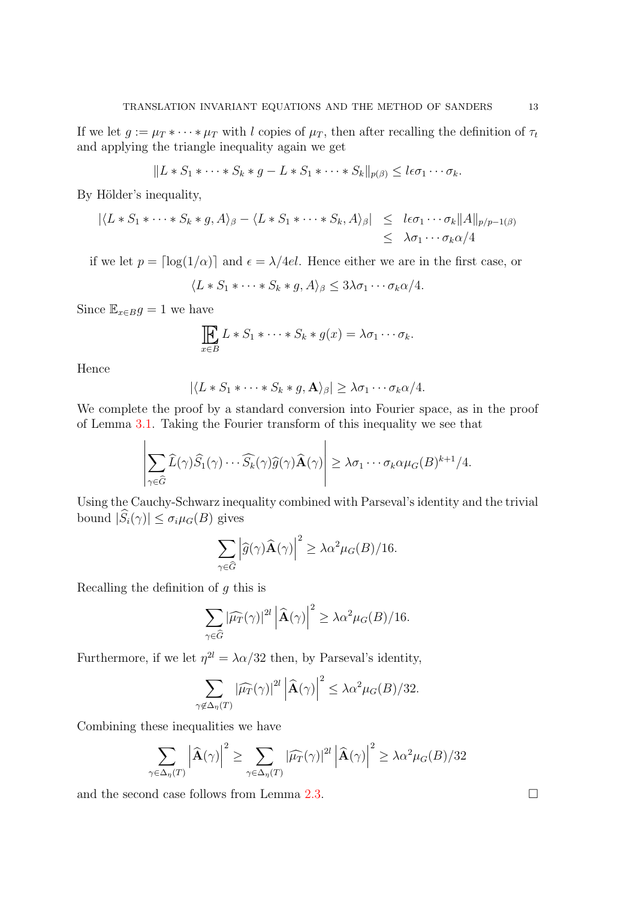If we let  $g := \mu_T * \cdots * \mu_T$  with l copies of  $\mu_T$ , then after recalling the definition of  $\tau_t$ and applying the triangle inequality again we get

$$
||L * S_1 * \cdots * S_k * g - L * S_1 * \cdots * S_k||_{p(\beta)} \leq l\epsilon\sigma_1\cdots\sigma_k.
$$

By Hölder's inequality,

$$
|\langle L * S_1 * \cdots * S_k * g, A \rangle_{\beta} - \langle L * S_1 * \cdots * S_k, A \rangle_{\beta}| \leq l \epsilon \sigma_1 \cdots \sigma_k ||A||_{p/p-1(\beta)}
$$
  

$$
\leq \lambda \sigma_1 \cdots \sigma_k \alpha/4
$$

if we let  $p = \lfloor \log(1/\alpha) \rfloor$  and  $\epsilon = \lambda/4el$ . Hence either we are in the first case, or

$$
\langle L * S_1 * \cdots * S_k * g, A \rangle_{\beta} \leq 3\lambda \sigma_1 \cdots \sigma_k \alpha/4.
$$

Since  $\mathbb{E}_{x \in B} g = 1$  we have

$$
\prod_{x \in B} L * S_1 * \cdots * S_k * g(x) = \lambda \sigma_1 \cdots \sigma_k.
$$

Hence

$$
|\langle L * S_1 * \cdots * S_k * g, \mathbf{A} \rangle_{\beta}| \geq \lambda \sigma_1 \cdots \sigma_k \alpha/4.
$$

We complete the proof by a standard conversion into Fourier space, as in the proof of Lemma [3.1.](#page-8-1) Taking the Fourier transform of this inequality we see that

$$
\left|\sum_{\gamma\in\widehat{G}}\widehat{L}(\gamma)\widehat{S}_1(\gamma)\cdots\widehat{S}_k(\gamma)\widehat{g}(\gamma)\widehat{\mathbf{A}}(\gamma)\right|\geq\lambda\sigma_1\cdots\sigma_k\alpha\mu_G(B)^{k+1}/4.
$$

Using the Cauchy-Schwarz inequality combined with Parseval's identity and the trivial bound  $|\widehat{S}_i(\gamma)| \leq \sigma_i \mu_G(B)$  gives

$$
\sum_{\gamma \in \widehat{G}} \left| \widehat{g}(\gamma) \widehat{\mathbf{A}}(\gamma) \right|^2 \ge \lambda \alpha^2 \mu_G(B)/16.
$$

Recalling the definition of  $q$  this is

$$
\sum_{\gamma \in \widehat{G}} |\widehat{\mu}_T(\gamma)|^{2l} \left| \widehat{\mathbf{A}}(\gamma) \right|^2 \geq \lambda \alpha^2 \mu_G(B)/16.
$$

Furthermore, if we let  $\eta^{2l} = \lambda \alpha/32$  then, by Parseval's identity,

$$
\sum_{\gamma \notin \Delta_{\eta}(T)} |\widehat{\mu}_T(\gamma)|^{2l} \left| \widehat{\mathbf{A}}(\gamma) \right|^2 \leq \lambda \alpha^2 \mu_G(B)/32.
$$

Combining these inequalities we have

$$
\sum_{\gamma \in \Delta_{\eta}(T)} \left| \widehat{\mathbf{A}}(\gamma) \right|^2 \ge \sum_{\gamma \in \Delta_{\eta}(T)} \left| \widehat{\mu}_T(\gamma) \right|^{2l} \left| \widehat{\mathbf{A}}(\gamma) \right|^2 \ge \lambda \alpha^2 \mu_G(B)/32
$$

and the second case follows from Lemma [2.3.](#page-7-1)  $\Box$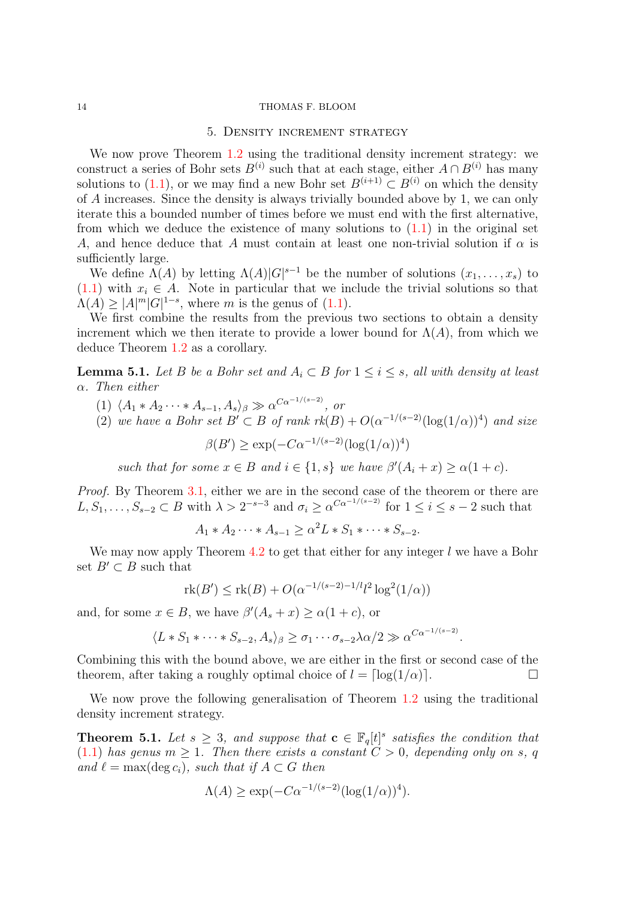### 5. Density increment strategy

<span id="page-13-0"></span>We now prove Theorem [1.2](#page-2-0) using the traditional density increment strategy: we construct a series of Bohr sets  $B^{(i)}$  such that at each stage, either  $A \cap B^{(i)}$  has many solutions to [\(1.1\)](#page-0-0), or we may find a new Bohr set  $B^{(i+1)} \nsubseteq B^{(i)}$  on which the density of A increases. Since the density is always trivially bounded above by 1, we can only iterate this a bounded number of times before we must end with the first alternative, from which we deduce the existence of many solutions to  $(1.1)$  in the original set A, and hence deduce that A must contain at least one non-trivial solution if  $\alpha$  is sufficiently large.

We define  $\Lambda(A)$  by letting  $\Lambda(A)|G|^{s-1}$  be the number of solutions  $(x_1, \ldots, x_s)$  to [\(1.1\)](#page-0-0) with  $x_i \in A$ . Note in particular that we include the trivial solutions so that  $\Lambda(A) \geq |A|^m |G|^{1-s}$ , where m is the genus of [\(1.1\)](#page-0-0).

We first combine the results from the previous two sections to obtain a density increment which we then iterate to provide a lower bound for  $\Lambda(A)$ , from which we deduce Theorem [1.2](#page-2-0) as a corollary.

<span id="page-13-1"></span>**Lemma 5.1.** Let B be a Bohr set and  $A_i \subset B$  for  $1 \leq i \leq s$ , all with density at least α. Then either

- (1)  $\langle A_1 * A_2 \cdots * A_{s-1}, A_s \rangle_\beta \gg \alpha^{C\alpha^{-1/(s-2)}},$  or
- (2) we have a Bohr set  $B' \subset B$  of rank  $rk(B) + O(\alpha^{-1/(s-2)}(\log(1/\alpha))^4)$  and size

 $\beta(B') \ge \exp(-C\alpha^{-1/(s-2)}(\log(1/\alpha))^4)$ 

such that for some  $x \in B$  and  $i \in \{1, s\}$  we have  $\beta'(A_i + x) \geq \alpha(1 + c)$ .

Proof. By Theorem [3.1,](#page-9-0) either we are in the second case of the theorem or there are  $L, S_1, \ldots, S_{s-2} \subset B$  with  $\lambda > 2^{-s-3}$  and  $\sigma_i \geq \alpha^{C\alpha^{-1/(s-2)}}$  for  $1 \leq i \leq s-2$  such that

 $A_1 * A_2 \cdots * A_{s-1} \ge \alpha^2 L * S_1 * \cdots * S_{s-2}.$ 

We may now apply Theorem  $4.2$  to get that either for any integer l we have a Bohr set  $B' \subset B$  such that

$$
rk(B') \le rk(B) + O(\alpha^{-1/(s-2)-1/l} l^2 \log^2(1/\alpha))
$$

and, for some  $x \in B$ , we have  $\beta'(A_s + x) \ge \alpha(1+c)$ , or

$$
\langle L * S_1 * \cdots * S_{s-2}, A_s \rangle_{\beta} \geq \sigma_1 \cdots \sigma_{s-2} \lambda \alpha/2 \gg \alpha^{C\alpha^{-1/(s-2)}}.
$$

Combining this with the bound above, we are either in the first or second case of the theorem, after taking a roughly optimal choice of  $l = \lceil \log(1/\alpha) \rceil$ .

We now prove the following generalisation of Theorem [1.2](#page-2-0) using the traditional density increment strategy.

<span id="page-13-2"></span>**Theorem 5.1.** Let  $s \geq 3$ , and suppose that  $\mathbf{c} \in \mathbb{F}_q[t]^s$  satisfies the condition that [\(1.1\)](#page-0-0) has genus  $m \geq 1$ . Then there exists a constant  $C > 0$ , depending only on s, q and  $\ell = \max(\deg c_i)$ , such that if  $A \subset G$  then

$$
\Lambda(A) \ge \exp(-C\alpha^{-1/(s-2)}(\log(1/\alpha))^4).
$$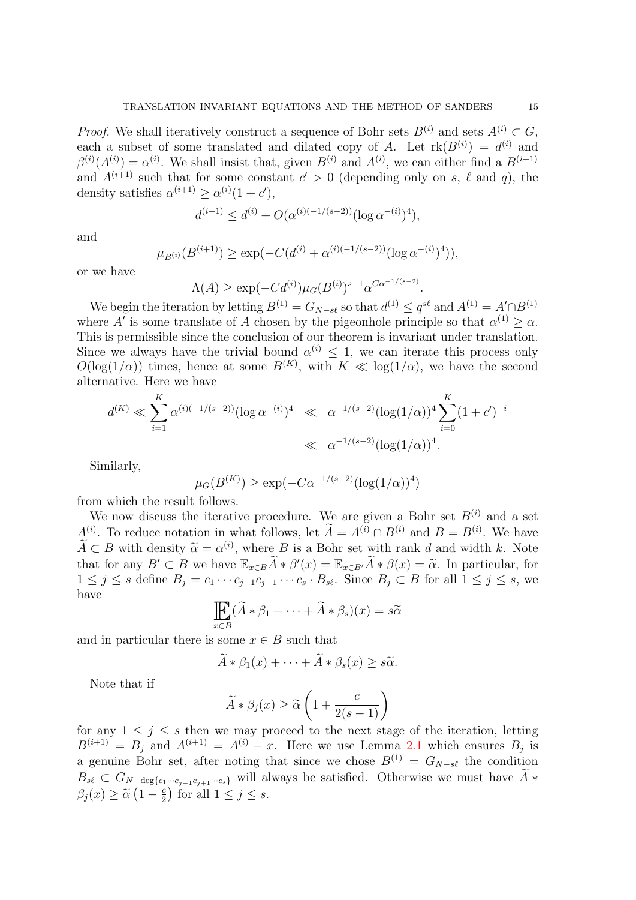*Proof.* We shall iteratively construct a sequence of Bohr sets  $B^{(i)}$  and sets  $A^{(i)} \subset G$ , each a subset of some translated and dilated copy of A. Let  $rk(B^{(i)}) = d^{(i)}$  and  $\beta^{(i)}(A^{(i)}) = \alpha^{(i)}$ . We shall insist that, given  $B^{(i)}$  and  $A^{(i)}$ , we can either find a  $B^{(i+1)}$ and  $A^{(i+1)}$  such that for some constant  $c' > 0$  (depending only on s,  $\ell$  and q), the density satisfies  $\alpha^{(i+1)} \geq \alpha^{(i)}(1+c'),$ 

$$
d^{(i+1)} \le d^{(i)} + O(\alpha^{(i)(-1/(s-2))} (\log \alpha^{-(i)})^4),
$$

and

$$
\mu_{B^{(i)}}(B^{(i+1)}) \ge \exp(-C(d^{(i)} + \alpha^{(i)(-1/(s-2))}(\log \alpha^{-(i)})^4)),
$$

or we have

$$
\Lambda(A) \ge \exp(-Cd^{(i)}) \mu_G(B^{(i)})^{s-1} \alpha^{C\alpha^{-1/(s-2)}}.
$$

We begin the iteration by letting  $B^{(1)} = G_{N-s\ell}$  so that  $d^{(1)} \leq q^{s\ell}$  and  $A^{(1)} = A' \cap B^{(1)}$ where A' is some translate of A chosen by the pigeonhole principle so that  $\alpha^{(1)} \geq \alpha$ . This is permissible since the conclusion of our theorem is invariant under translation. Since we always have the trivial bound  $\alpha^{(i)} \leq 1$ , we can iterate this process only  $O(\log(1/\alpha))$  times, hence at some  $B^{(K)}$ , with  $K \ll \log(1/\alpha)$ , we have the second alternative. Here we have

$$
d^{(K)} \ll \sum_{i=1}^{K} \alpha^{(i)(-1/(s-2))} (\log \alpha^{-(i)})^4 \ll \alpha^{-1/(s-2)} (\log(1/\alpha))^4 \sum_{i=0}^{K} (1+c')^{-i}
$$
  

$$
\ll \alpha^{-1/(s-2)} (\log(1/\alpha))^4.
$$

Similarly,

$$
\mu_G(B^{(K)}) \ge \exp(-C\alpha^{-1/(s-2)}(\log(1/\alpha))^4)
$$

from which the result follows.

We now discuss the iterative procedure. We are given a Bohr set  $B^{(i)}$  and a set  $A^{(i)}$ . To reduce notation in what follows, let  $\tilde{A} = A^{(i)} \cap B^{(i)}$  and  $B = B^{(i)}$ . We have  $\widetilde{A} \subset B$  with density  $\widetilde{\alpha} = \alpha^{(i)}$ , where B is a Bohr set with rank d and width k. Note that for any <sup>B</sup><sup>0</sup> <sup>⊂</sup> <sup>B</sup> we have <sup>E</sup>x∈BA<sup>e</sup> <sup>∗</sup> <sup>β</sup> 0 (x) = <sup>E</sup>x∈B<sup>0</sup>A<sup>e</sup> <sup>∗</sup> <sup>β</sup>(x) = <sup>α</sup>e. In particular, for  $1 \leq j \leq s$  define  $B_j = c_1 \cdots c_{j-1} c_{j+1} \cdots c_s \cdot B_{s\ell}$ . Since  $B_j \subset B$  for all  $1 \leq j \leq s$ , we have

$$
\prod_{x \in B} (\widetilde{A} * \beta_1 + \dots + \widetilde{A} * \beta_s)(x) = s\widetilde{\alpha}
$$

and in particular there is some  $x \in B$  such that

$$
\tilde{A} * \beta_1(x) + \cdots + \tilde{A} * \beta_s(x) \geq s\tilde{\alpha}.
$$

Note that if

$$
\widetilde{A} * \beta_j(x) \ge \widetilde{\alpha} \left( 1 + \frac{c}{2(s-1)} \right)
$$

for any  $1 \leq j \leq s$  then we may proceed to the next stage of the iteration, letting  $B^{(i+1)} = B_j$  and  $A^{(i+1)} = A^{(i)} - x$ . Here we use Lemma [2.1](#page-6-0) which ensures  $B_j$  is a genuine Bohr set, after noting that since we chose  $B^{(1)} = G_{N-s\ell}$  the condition  $B_{s\ell} \subset G_{N-\deg\{c_1\cdots c_{i-1}c_{i+1}\cdots c_s\}}$  will always be satisfied. Otherwise we must have  $\tilde{A}$ \*  $\beta_j(x) \geq \tilde{\alpha} \left(1 - \frac{c}{2}\right)$  $(\frac{c}{2})$  for all  $1 \leq j \leq s$ .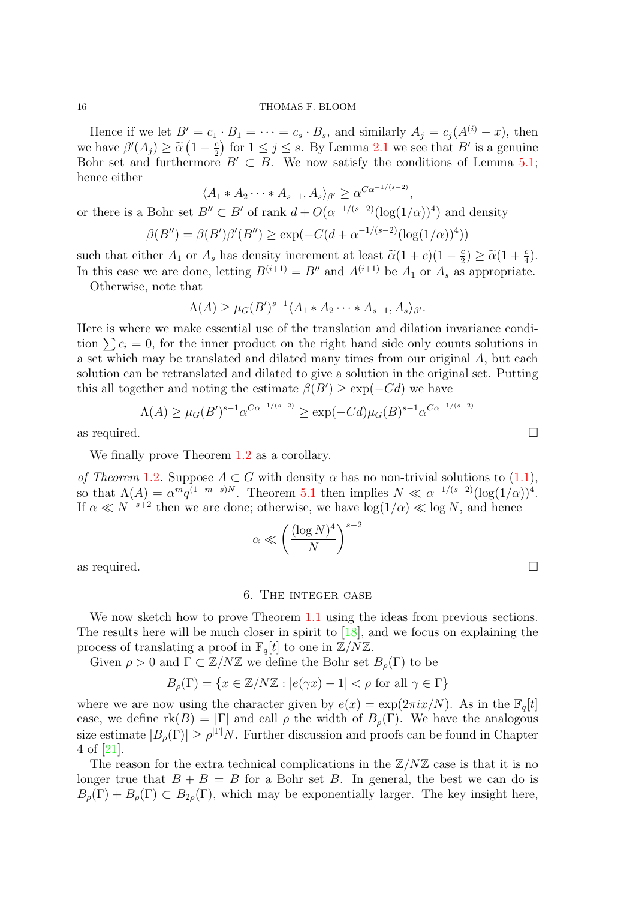Hence if we let  $B' = c_1 \cdot B_1 = \cdots = c_s \cdot B_s$ , and similarly  $A_j = c_j (A^{(i)} - x)$ , then we have  $\beta'(A_j) \geq \tilde{\alpha} (1 - \frac{c}{2})$ <br>Bohr set and furthermore  $\frac{c}{2}$  for  $1 \leq j \leq s$ . By Lemma [2.1](#page-6-0) we see that  $B'$  is a genuine Bohr set and furthermore  $B' \subset B$ . We now satisfy the conditions of Lemma [5.1;](#page-13-1) hence either

 $\langle A_1 * A_2 \cdots * A_{s-1}, A_s \rangle_{\beta'} \geq \alpha^{C\alpha^{-1/(s-2)}},$ 

or there is a Bohr set  $B'' \subset B'$  of rank  $d + O(\alpha^{-1/(s-2)}(\log(1/\alpha))^4)$  and density

$$
\beta(B'') = \beta(B')\beta'(B'') \ge \exp(-C(d + \alpha^{-1/(s-2)}(\log(1/\alpha))^4))
$$

such that either  $A_1$  or  $A_s$  has density increment at least  $\tilde{\alpha}(1+c)(1-\frac{c}{2})$  $\frac{c}{2}$ )  $\geq \widetilde{\alpha}(1+\frac{c}{4}).$ In this case we are done, letting  $B^{(i+1)} = B''$  and  $A^{(i+1)}$  be  $A_1$  or  $A_s$  as appropriate.

Otherwise, note that

$$
\Lambda(A) \geq \mu_G(B')^{s-1} \langle A_1 * A_2 \cdots * A_{s-1}, A_s \rangle_{\beta'}.
$$

Here is where we make essential use of the translation and dilation invariance condition  $\sum c_i = 0$ , for the inner product on the right hand side only counts solutions in a set which may be translated and dilated many times from our original A, but each solution can be retranslated and dilated to give a solution in the original set. Putting this all together and noting the estimate  $\beta(B') \geq \exp(-C)d$  we have

$$
\Lambda(A) \ge \mu_G(B')^{s-1} \alpha^{C\alpha^{-1/(s-2)}} \ge \exp(-Cd)\mu_G(B)^{s-1} \alpha^{C\alpha^{-1/(s-2)}}
$$
  
as required.

We finally prove Theorem [1.2](#page-2-0) as a corollary.

of Theorem [1.2](#page-2-0). Suppose  $A \subset G$  with density  $\alpha$  has no non-trivial solutions to [\(1.1\)](#page-0-0), so that  $\Lambda(A) = \alpha^m q^{(1+m-s)N}$ . Theorem [5.1](#page-13-2) then implies  $N \ll \alpha^{-1/(s-2)} (\log(1/\alpha))^4$ . If  $\alpha \ll N^{-s+2}$  then we are done; otherwise, we have  $\log(1/\alpha) \ll \log N$ , and hence

$$
\alpha \ll \left(\frac{(\log N)^4}{N}\right)^{s-2}
$$

as required.  $\Box$ 

# 6. The integer case

<span id="page-15-0"></span>We now sketch how to prove Theorem [1.1](#page-1-0) using the ideas from previous sections. The results here will be much closer in spirit to  $[18]$ , and we focus on explaining the process of translating a proof in  $\mathbb{F}_q[t]$  to one in  $\mathbb{Z}/N\mathbb{Z}$ .

Given  $\rho > 0$  and  $\Gamma \subset \mathbb{Z}/N\mathbb{Z}$  we define the Bohr set  $B_{\rho}(\Gamma)$  to be

$$
B_{\rho}(\Gamma) = \{ x \in \mathbb{Z}/N\mathbb{Z} : |e(\gamma x) - 1| < \rho \text{ for all } \gamma \in \Gamma \}
$$

where we are now using the character given by  $e(x) = \exp(2\pi i x/N)$ . As in the  $\mathbb{F}_q[t]$ case, we define  $\text{rk}(B) = |\Gamma|$  and call  $\rho$  the width of  $B_{\rho}(\Gamma)$ . We have the analogous size estimate  $|B_\rho(\Gamma)| \ge \rho^{|\Gamma|} N$ . Further discussion and proofs can be found in Chapter 4 of [\[21\]](#page-18-19).

The reason for the extra technical complications in the  $\mathbb{Z}/N\mathbb{Z}$  case is that it is no longer true that  $B + B = B$  for a Bohr set B. In general, the best we can do is  $B_{\rho}(\Gamma) + B_{\rho}(\Gamma) \subset B_{2\rho}(\Gamma)$ , which may be exponentially larger. The key insight here,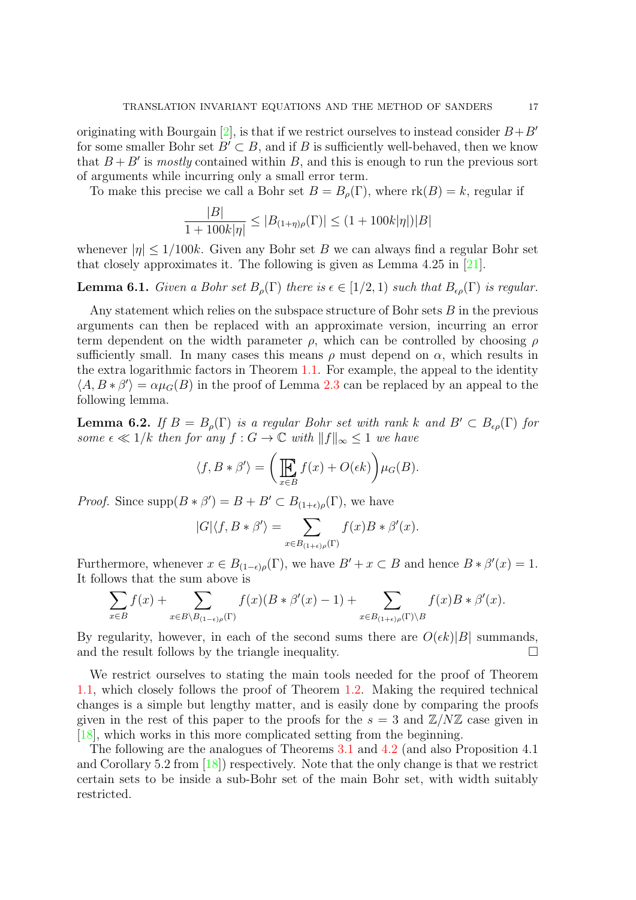originating with Bourgain [\[2\]](#page-18-5), is that if we restrict ourselves to instead consider  $B+B'$ for some smaller Bohr set  $B' \subset B$ , and if B is sufficiently well-behaved, then we know that  $B + B'$  is *mostly* contained within B, and this is enough to run the previous sort of arguments while incurring only a small error term.

To make this precise we call a Bohr set  $B = B<sub>o</sub>(\Gamma)$ , where  $rk(B) = k$ , regular if

$$
\frac{|B|}{1+100k|\eta|} \le |B_{(1+\eta)\rho}(\Gamma)| \le (1+100k|\eta|)|B|
$$

whenever  $|\eta| \leq 1/100k$ . Given any Bohr set B we can always find a regular Bohr set that closely approximates it. The following is given as Lemma 4.25 in [\[21\]](#page-18-19).

**Lemma 6.1.** Given a Bohr set  $B_\rho(\Gamma)$  there is  $\epsilon \in [1/2, 1)$  such that  $B_{\epsilon\rho}(\Gamma)$  is regular.

Any statement which relies on the subspace structure of Bohr sets B in the previous arguments can then be replaced with an approximate version, incurring an error term dependent on the width parameter  $\rho$ , which can be controlled by choosing  $\rho$ sufficiently small. In many cases this means  $\rho$  must depend on  $\alpha$ , which results in the extra logarithmic factors in Theorem [1.1.](#page-1-0) For example, the appeal to the identity  $\langle A, B * \beta' \rangle = \alpha \mu_G(B)$  in the proof of Lemma [2.3](#page-7-1) can be replaced by an appeal to the following lemma.

**Lemma 6.2.** If  $B = B_{\rho}(\Gamma)$  is a regular Bohr set with rank k and  $B' \subset B_{\epsilon\rho}(\Gamma)$  for some  $\epsilon \ll 1/k$  then for any  $f : G \to \mathbb{C}$  with  $||f||_{\infty} \leq 1$  we have

$$
\langle f, B * \beta' \rangle = \left( \prod_{x \in B} f(x) + O(\epsilon k) \right) \mu_G(B).
$$

*Proof.* Since  $\text{supp}(B * \beta') = B + B' \subset B_{(1+\epsilon)\rho}(\Gamma)$ , we have

$$
|G|\langle f, B * \beta' \rangle = \sum_{x \in B_{(1+\epsilon)\rho}(\Gamma)} f(x)B * \beta'(x).
$$

Furthermore, whenever  $x \in B_{(1-\epsilon)\rho}(\Gamma)$ , we have  $B' + x \subset B$  and hence  $B * \beta'(x) = 1$ . It follows that the sum above is

$$
\sum_{x \in B} f(x) + \sum_{x \in B \setminus B_{(1-\epsilon)\rho}(\Gamma)} f(x)(B * \beta'(x) - 1) + \sum_{x \in B_{(1+\epsilon)\rho}(\Gamma) \setminus B} f(x)B * \beta'(x).
$$

By regularity, however, in each of the second sums there are  $O(\epsilon k)|B|$  summands, and the result follows by the triangle inequality.  $\Box$ 

We restrict ourselves to stating the main tools needed for the proof of Theorem [1.1,](#page-1-0) which closely follows the proof of Theorem [1.2.](#page-2-0) Making the required technical changes is a simple but lengthy matter, and is easily done by comparing the proofs given in the rest of this paper to the proofs for the  $s = 3$  and  $\mathbb{Z}/N\mathbb{Z}$  case given in [\[18\]](#page-18-8), which works in this more complicated setting from the beginning.

The following are the analogues of Theorems [3.1](#page-9-0) and [4.2](#page-11-2) (and also Proposition 4.1 and Corollary 5.2 from  $[18]$ ) respectively. Note that the only change is that we restrict certain sets to be inside a sub-Bohr set of the main Bohr set, with width suitably restricted.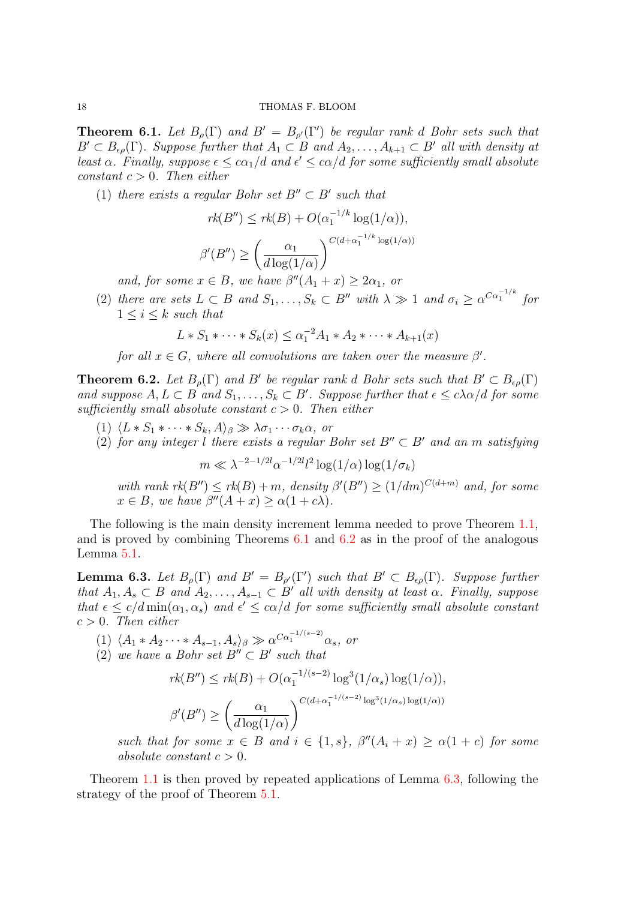<span id="page-17-0"></span>**Theorem 6.1.** Let  $B_\rho(\Gamma)$  and  $B' = B_{\rho'}(\Gamma')$  be regular rank d Bohr sets such that  $B' \subset B_{\epsilon_0}(\Gamma)$ . Suppose further that  $A_1 \subset B$  and  $A_2, \ldots, A_{k+1} \subset B'$  all with density at least  $\alpha$ . Finally, suppose  $\epsilon \leq c\alpha_1/d$  and  $\epsilon' \leq c\alpha/d$  for some sufficiently small absolute constant  $c > 0$ . Then either

(1) there exists a regular Bohr set  $B'' \subset B'$  such that

$$
rk(B'') \leq rk(B) + O(\alpha_1^{-1/k} \log(1/\alpha)),
$$

$$
\beta'(B'') \geq \left(\frac{\alpha_1}{d \log(1/\alpha)}\right)^{C(d + \alpha_1^{-1/k} \log(1/\alpha))}
$$

and, for some  $x \in B$ , we have  $\beta''(A_1 + x) \geq 2\alpha_1$ , or

(2) there are sets  $L \subset B$  and  $S_1, \ldots, S_k \subset B''$  with  $\lambda \gg 1$  and  $\sigma_i \geq \alpha^{C\alpha_1^{-1/k}}$  for  $1 \leq i \leq k$  such that

$$
L * S_1 * \cdots * S_k(x) \leq \alpha_1^{-2} A_1 * A_2 * \cdots * A_{k+1}(x)
$$

for all  $x \in G$ , where all convolutions are taken over the measure  $\beta'$ .

<span id="page-17-1"></span>**Theorem 6.2.** Let  $B_\rho(\Gamma)$  and B' be regular rank d Bohr sets such that  $B' \subset B_{\epsilon\rho}(\Gamma)$ and suppose  $A, L \subset B$  and  $S_1, \ldots, S_k \subset B'$ . Suppose further that  $\epsilon \leq c \lambda \alpha/d$  for some sufficiently small absolute constant  $c > 0$ . Then either

- (1)  $\langle L * S_1 * \cdots * S_k, A \rangle_\beta \gg \lambda \sigma_1 \cdots \sigma_k \alpha$ , or
- (2) for any integer l there exists a regular Bohr set  $B'' \subset B'$  and an m satisfying

 $m \ll \lambda^{-2-1/2l} \alpha^{-1/2l} l^2 \log(1/\alpha) \log(1/\sigma_k)$ 

with rank  $rk(B'') \leq rk(B) + m$ , density  $\beta'(B'') \geq (1/dm)^{C(d+m)}$  and, for some  $x \in B$ , we have  $\beta''(A+x) \geq \alpha(1+c\lambda)$ .

The following is the main density increment lemma needed to prove Theorem [1.1,](#page-1-0) and is proved by combining Theorems [6.1](#page-17-0) and [6.2](#page-17-1) as in the proof of the analogous Lemma [5.1.](#page-13-1)

<span id="page-17-2"></span>**Lemma 6.3.** Let  $B_\rho(\Gamma)$  and  $B' = B_{\rho'}(\Gamma')$  such that  $B' \subset B_{\epsilon\rho}(\Gamma)$ . Suppose further that  $A_1, A_s \subset B$  and  $A_2, \ldots, A_{s-1} \subset B'$  all with density at least  $\alpha$ . Finally, suppose that  $\epsilon \leq c/d \min(\alpha_1, \alpha_s)$  and  $\epsilon' \leq c\alpha/d$  for some sufficiently small absolute constant  $c > 0$ . Then either

(1)  $\langle A_1 * A_2 \cdots * A_{s-1}, A_s \rangle_\beta \gg \alpha^{C\alpha_1^{-1/(s-2)}} \alpha_s$ , or

(2) we have a Bohr set  $B'' \subset B'$  such that

$$
rk(B'') \leq rk(B) + O(\alpha_1^{-1/(s-2)} \log^3(1/\alpha_s) \log(1/\alpha)),
$$
  

$$
\beta'(B'') \geq \left(\frac{\alpha_1}{d \log(1/\alpha)}\right)^{C(d+\alpha_1^{-1/(s-2)} \log^3(1/\alpha_s) \log(1/\alpha))}
$$

such that for some  $x \in B$  and  $i \in \{1, s\}$ ,  $\beta''(A_i + x) \ge \alpha(1 + c)$  for some absolute constant  $c > 0$ .

Theorem [1.1](#page-1-0) is then proved by repeated applications of Lemma [6.3,](#page-17-2) following the strategy of the proof of Theorem [5.1.](#page-13-2)